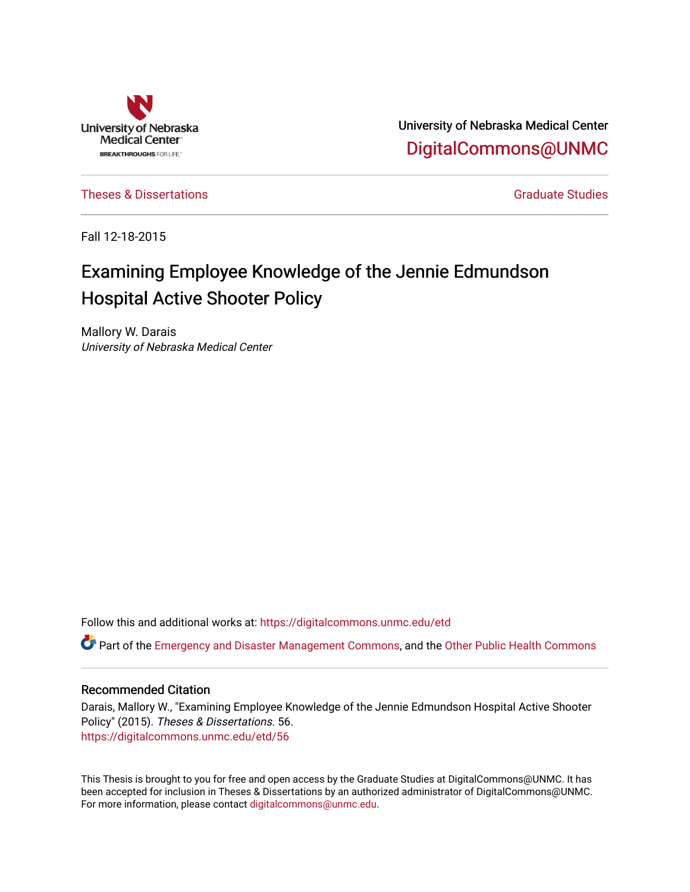

University of Nebraska Medical Center [DigitalCommons@UNMC](https://digitalcommons.unmc.edu/) 

[Theses & Dissertations](https://digitalcommons.unmc.edu/etd) [Graduate Studies](https://digitalcommons.unmc.edu/grad_studies) and Graduate Studies Creations Creations of Graduate Studies

Fall 12-18-2015

# Examining Employee Knowledge of the Jennie Edmundson Hospital Active Shooter Policy

Mallory W. Darais University of Nebraska Medical Center

Follow this and additional works at: [https://digitalcommons.unmc.edu/etd](https://digitalcommons.unmc.edu/etd?utm_source=digitalcommons.unmc.edu%2Fetd%2F56&utm_medium=PDF&utm_campaign=PDFCoverPages)

Part of the [Emergency and Disaster Management Commons,](http://network.bepress.com/hgg/discipline/1321?utm_source=digitalcommons.unmc.edu%2Fetd%2F56&utm_medium=PDF&utm_campaign=PDFCoverPages) and the [Other Public Health Commons](http://network.bepress.com/hgg/discipline/748?utm_source=digitalcommons.unmc.edu%2Fetd%2F56&utm_medium=PDF&utm_campaign=PDFCoverPages)

#### Recommended Citation

Darais, Mallory W., "Examining Employee Knowledge of the Jennie Edmundson Hospital Active Shooter Policy" (2015). Theses & Dissertations. 56. [https://digitalcommons.unmc.edu/etd/56](https://digitalcommons.unmc.edu/etd/56?utm_source=digitalcommons.unmc.edu%2Fetd%2F56&utm_medium=PDF&utm_campaign=PDFCoverPages) 

This Thesis is brought to you for free and open access by the Graduate Studies at DigitalCommons@UNMC. It has been accepted for inclusion in Theses & Dissertations by an authorized administrator of DigitalCommons@UNMC. For more information, please contact [digitalcommons@unmc.edu](mailto:digitalcommons@unmc.edu).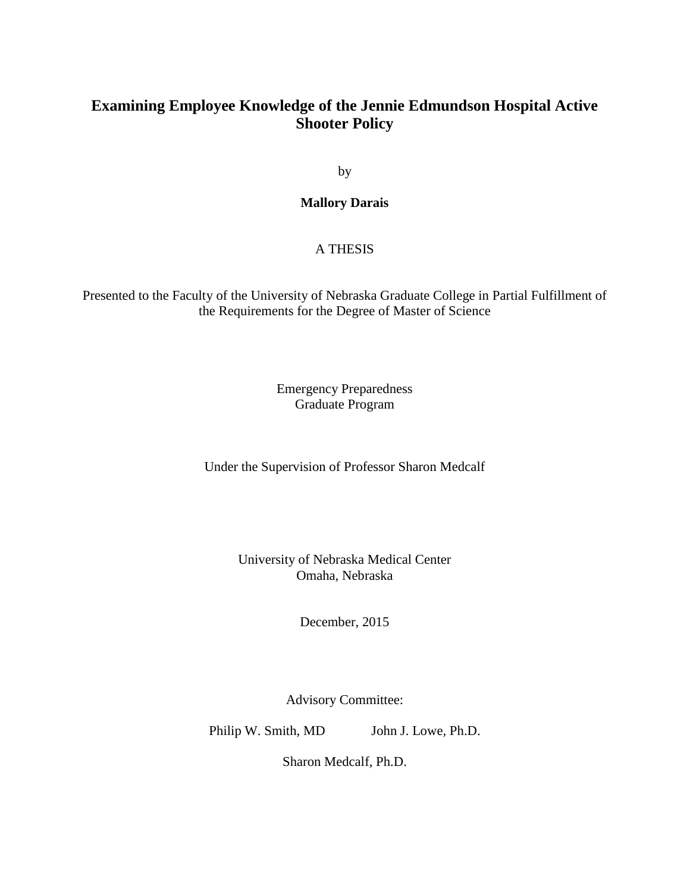## **Examining Employee Knowledge of the Jennie Edmundson Hospital Active Shooter Policy**

by

### **Mallory Darais**

### A THESIS

Presented to the Faculty of the University of Nebraska Graduate College in Partial Fulfillment of the Requirements for the Degree of Master of Science

> Emergency Preparedness Graduate Program

Under the Supervision of Professor Sharon Medcalf

University of Nebraska Medical Center Omaha, Nebraska

December, 2015

Advisory Committee:

Philip W. Smith, MD John J. Lowe, Ph.D.

Sharon Medcalf, Ph.D.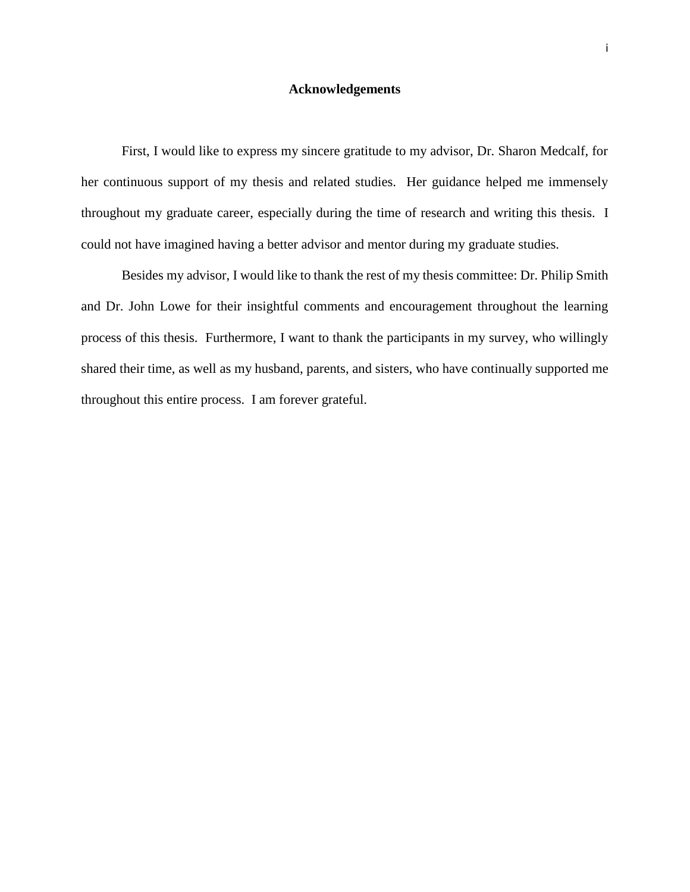#### **Acknowledgements**

First, I would like to express my sincere gratitude to my advisor, Dr. Sharon Medcalf, for her continuous support of my thesis and related studies. Her guidance helped me immensely throughout my graduate career, especially during the time of research and writing this thesis. I could not have imagined having a better advisor and mentor during my graduate studies.

Besides my advisor, I would like to thank the rest of my thesis committee: Dr. Philip Smith and Dr. John Lowe for their insightful comments and encouragement throughout the learning process of this thesis. Furthermore, I want to thank the participants in my survey, who willingly shared their time, as well as my husband, parents, and sisters, who have continually supported me throughout this entire process. I am forever grateful.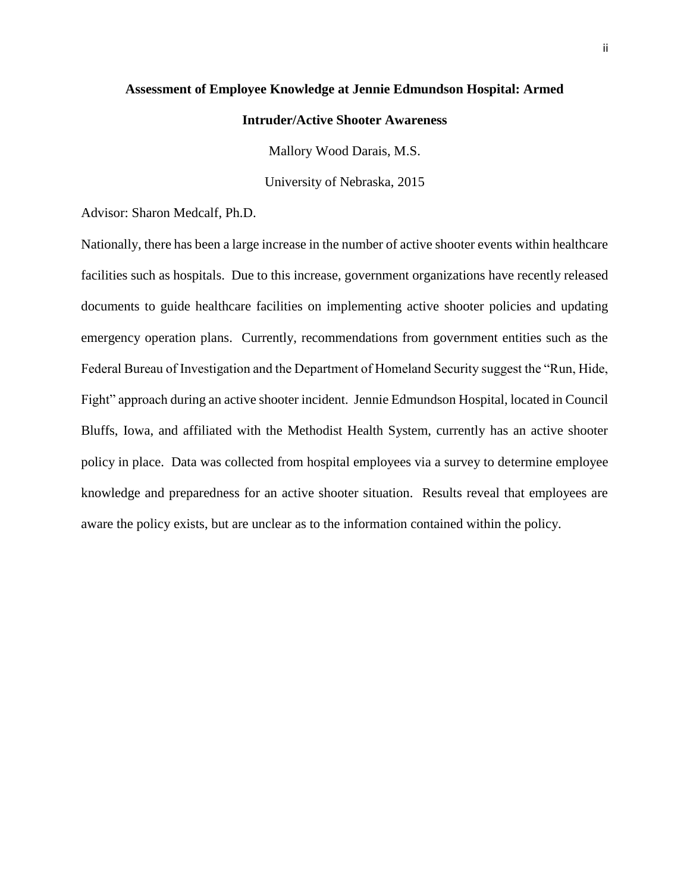#### **Assessment of Employee Knowledge at Jennie Edmundson Hospital: Armed**

#### **Intruder/Active Shooter Awareness**

Mallory Wood Darais, M.S.

University of Nebraska, 2015

Advisor: Sharon Medcalf, Ph.D.

Nationally, there has been a large increase in the number of active shooter events within healthcare facilities such as hospitals. Due to this increase, government organizations have recently released documents to guide healthcare facilities on implementing active shooter policies and updating emergency operation plans. Currently, recommendations from government entities such as the Federal Bureau of Investigation and the Department of Homeland Security suggest the "Run, Hide, Fight" approach during an active shooter incident. Jennie Edmundson Hospital, located in Council Bluffs, Iowa, and affiliated with the Methodist Health System, currently has an active shooter policy in place. Data was collected from hospital employees via a survey to determine employee knowledge and preparedness for an active shooter situation. Results reveal that employees are aware the policy exists, but are unclear as to the information contained within the policy.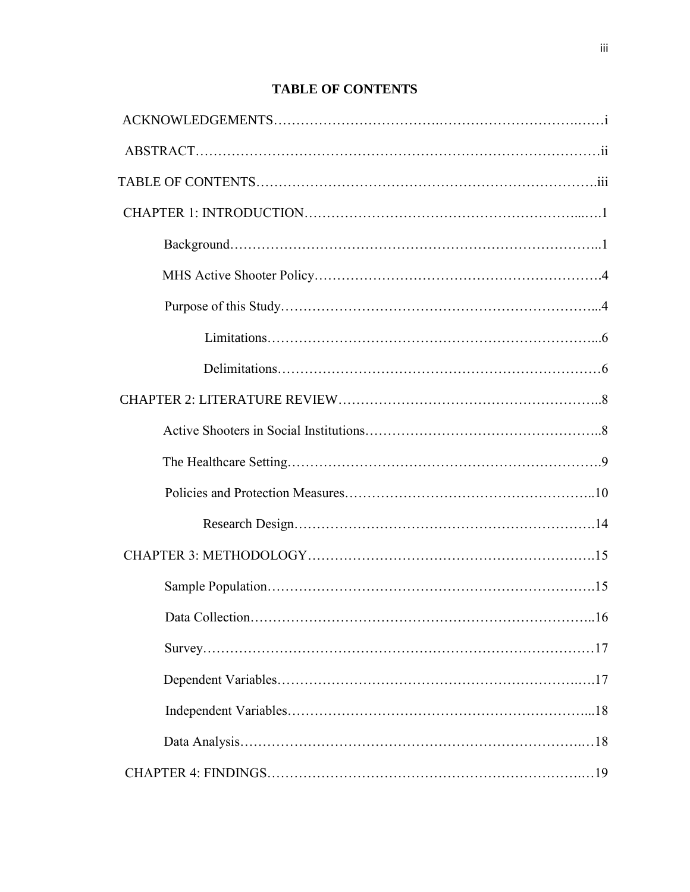## **TABLE OF CONTENTS**

| .16 |
|-----|
|     |
|     |
|     |
|     |
|     |
|     |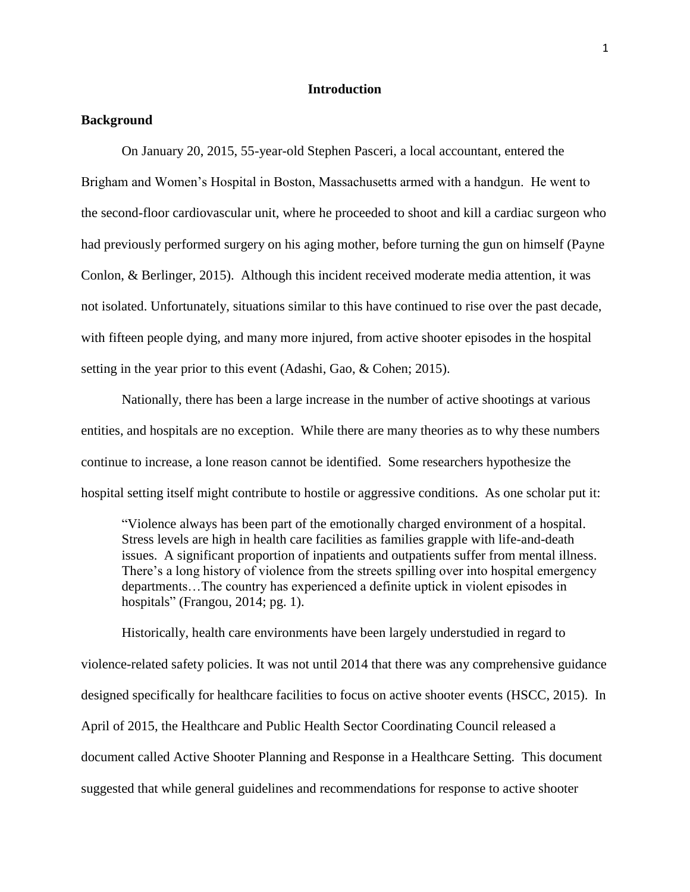#### **Introduction**

#### **Background**

On January 20, 2015, 55-year-old Stephen Pasceri, a local accountant, entered the Brigham and Women's Hospital in Boston, Massachusetts armed with a handgun. He went to the second-floor cardiovascular unit, where he proceeded to shoot and kill a cardiac surgeon who had previously performed surgery on his aging mother, before turning the gun on himself (Payne Conlon, & Berlinger, 2015). Although this incident received moderate media attention, it was not isolated. Unfortunately, situations similar to this have continued to rise over the past decade, with fifteen people dying, and many more injured, from active shooter episodes in the hospital setting in the year prior to this event (Adashi, Gao, & Cohen; 2015).

Nationally, there has been a large increase in the number of active shootings at various entities, and hospitals are no exception. While there are many theories as to why these numbers continue to increase, a lone reason cannot be identified. Some researchers hypothesize the hospital setting itself might contribute to hostile or aggressive conditions. As one scholar put it:

"Violence always has been part of the emotionally charged environment of a hospital. Stress levels are high in health care facilities as families grapple with life-and-death issues. A significant proportion of inpatients and outpatients suffer from mental illness. There's a long history of violence from the streets spilling over into hospital emergency departments…The country has experienced a definite uptick in violent episodes in hospitals" (Frangou, 2014; pg. 1).

Historically, health care environments have been largely understudied in regard to violence-related safety policies. It was not until 2014 that there was any comprehensive guidance designed specifically for healthcare facilities to focus on active shooter events (HSCC, 2015). In April of 2015, the Healthcare and Public Health Sector Coordinating Council released a document called Active Shooter Planning and Response in a Healthcare Setting. This document suggested that while general guidelines and recommendations for response to active shooter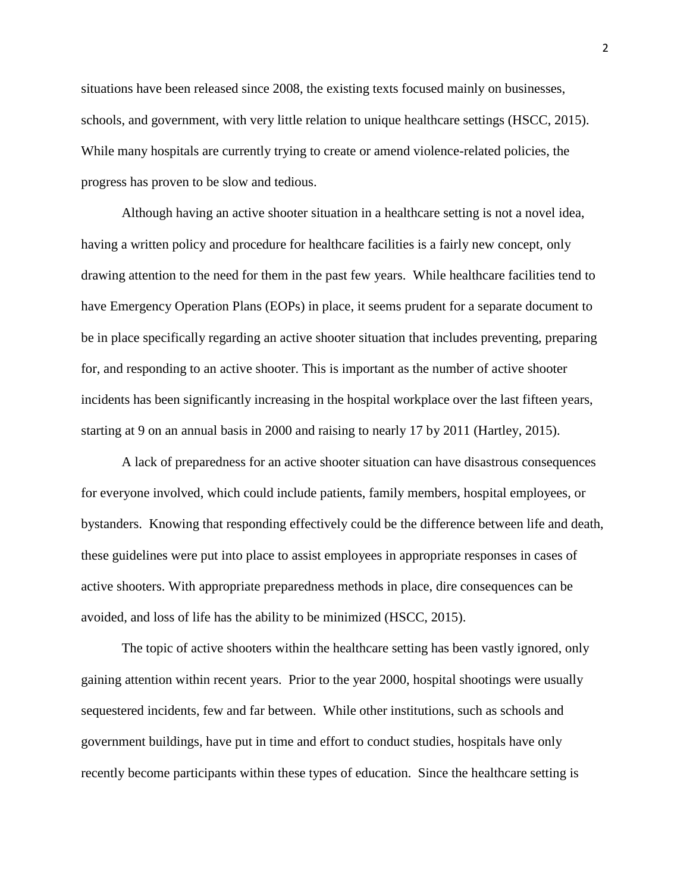situations have been released since 2008, the existing texts focused mainly on businesses, schools, and government, with very little relation to unique healthcare settings (HSCC, 2015). While many hospitals are currently trying to create or amend violence-related policies, the progress has proven to be slow and tedious.

Although having an active shooter situation in a healthcare setting is not a novel idea, having a written policy and procedure for healthcare facilities is a fairly new concept, only drawing attention to the need for them in the past few years. While healthcare facilities tend to have Emergency Operation Plans (EOPs) in place, it seems prudent for a separate document to be in place specifically regarding an active shooter situation that includes preventing, preparing for, and responding to an active shooter. This is important as the number of active shooter incidents has been significantly increasing in the hospital workplace over the last fifteen years, starting at 9 on an annual basis in 2000 and raising to nearly 17 by 2011 (Hartley, 2015).

A lack of preparedness for an active shooter situation can have disastrous consequences for everyone involved, which could include patients, family members, hospital employees, or bystanders. Knowing that responding effectively could be the difference between life and death, these guidelines were put into place to assist employees in appropriate responses in cases of active shooters. With appropriate preparedness methods in place, dire consequences can be avoided, and loss of life has the ability to be minimized (HSCC, 2015).

The topic of active shooters within the healthcare setting has been vastly ignored, only gaining attention within recent years. Prior to the year 2000, hospital shootings were usually sequestered incidents, few and far between. While other institutions, such as schools and government buildings, have put in time and effort to conduct studies, hospitals have only recently become participants within these types of education. Since the healthcare setting is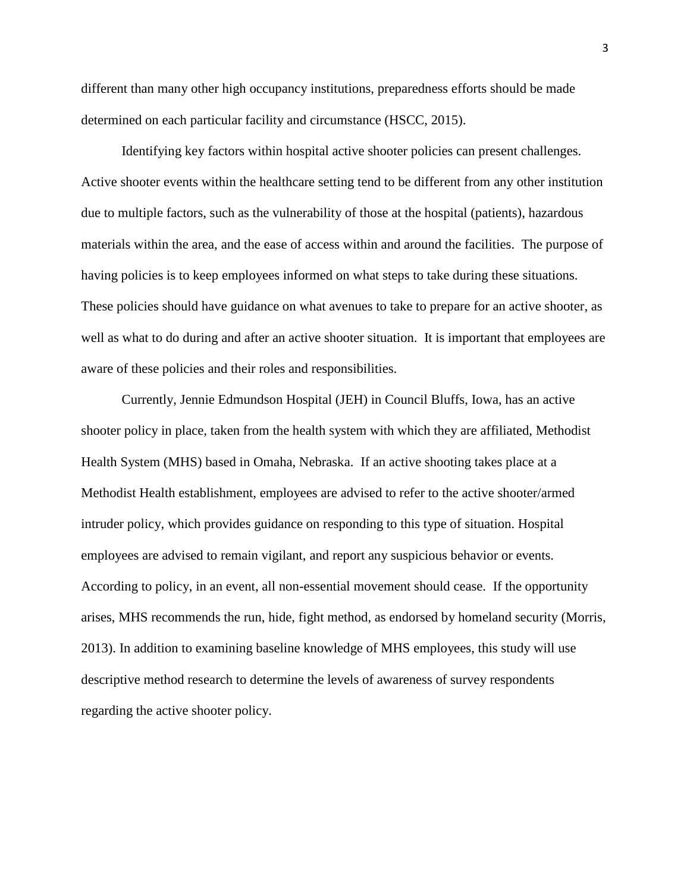different than many other high occupancy institutions, preparedness efforts should be made determined on each particular facility and circumstance (HSCC, 2015).

Identifying key factors within hospital active shooter policies can present challenges. Active shooter events within the healthcare setting tend to be different from any other institution due to multiple factors, such as the vulnerability of those at the hospital (patients), hazardous materials within the area, and the ease of access within and around the facilities. The purpose of having policies is to keep employees informed on what steps to take during these situations. These policies should have guidance on what avenues to take to prepare for an active shooter, as well as what to do during and after an active shooter situation. It is important that employees are aware of these policies and their roles and responsibilities.

Currently, Jennie Edmundson Hospital (JEH) in Council Bluffs, Iowa, has an active shooter policy in place, taken from the health system with which they are affiliated, Methodist Health System (MHS) based in Omaha, Nebraska. If an active shooting takes place at a Methodist Health establishment, employees are advised to refer to the active shooter/armed intruder policy, which provides guidance on responding to this type of situation. Hospital employees are advised to remain vigilant, and report any suspicious behavior or events. According to policy, in an event, all non-essential movement should cease. If the opportunity arises, MHS recommends the run, hide, fight method, as endorsed by homeland security (Morris, 2013). In addition to examining baseline knowledge of MHS employees, this study will use descriptive method research to determine the levels of awareness of survey respondents regarding the active shooter policy.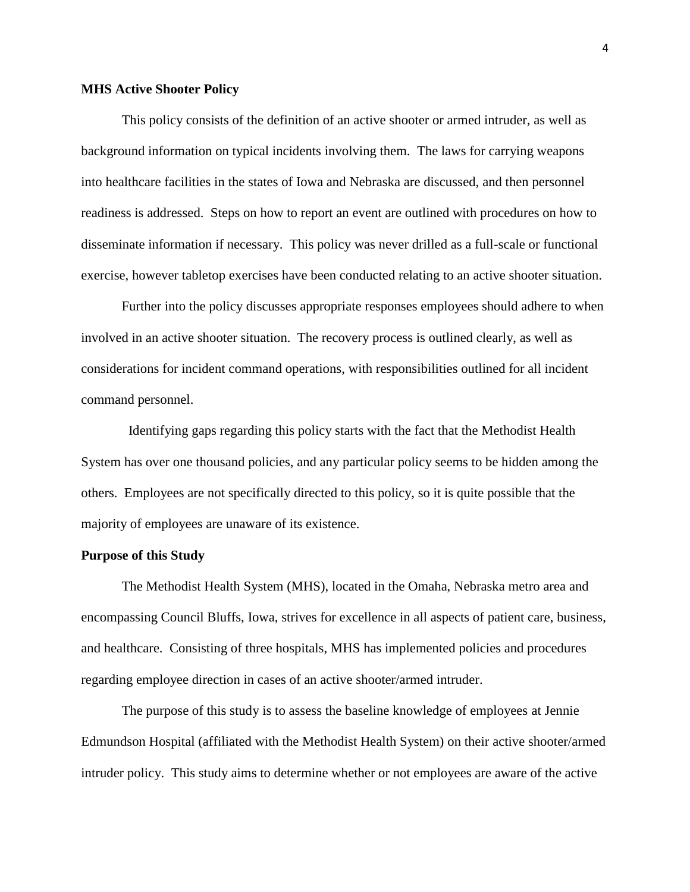#### **MHS Active Shooter Policy**

This policy consists of the definition of an active shooter or armed intruder, as well as background information on typical incidents involving them. The laws for carrying weapons into healthcare facilities in the states of Iowa and Nebraska are discussed, and then personnel readiness is addressed. Steps on how to report an event are outlined with procedures on how to disseminate information if necessary. This policy was never drilled as a full-scale or functional exercise, however tabletop exercises have been conducted relating to an active shooter situation.

Further into the policy discusses appropriate responses employees should adhere to when involved in an active shooter situation. The recovery process is outlined clearly, as well as considerations for incident command operations, with responsibilities outlined for all incident command personnel.

 Identifying gaps regarding this policy starts with the fact that the Methodist Health System has over one thousand policies, and any particular policy seems to be hidden among the others. Employees are not specifically directed to this policy, so it is quite possible that the majority of employees are unaware of its existence.

#### **Purpose of this Study**

The Methodist Health System (MHS), located in the Omaha, Nebraska metro area and encompassing Council Bluffs, Iowa, strives for excellence in all aspects of patient care, business, and healthcare. Consisting of three hospitals, MHS has implemented policies and procedures regarding employee direction in cases of an active shooter/armed intruder.

The purpose of this study is to assess the baseline knowledge of employees at Jennie Edmundson Hospital (affiliated with the Methodist Health System) on their active shooter/armed intruder policy. This study aims to determine whether or not employees are aware of the active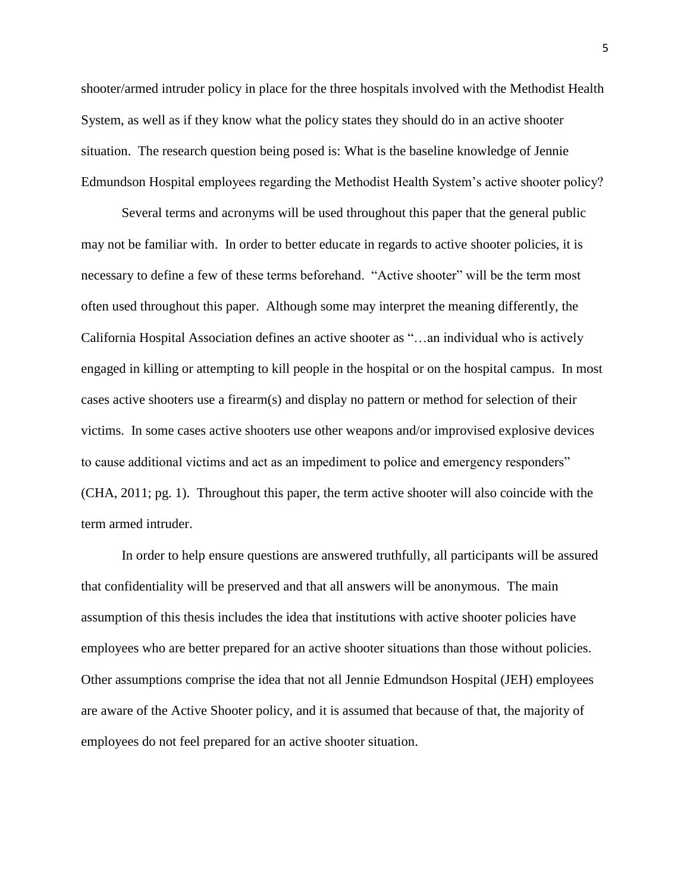shooter/armed intruder policy in place for the three hospitals involved with the Methodist Health System, as well as if they know what the policy states they should do in an active shooter situation. The research question being posed is: What is the baseline knowledge of Jennie Edmundson Hospital employees regarding the Methodist Health System's active shooter policy?

Several terms and acronyms will be used throughout this paper that the general public may not be familiar with. In order to better educate in regards to active shooter policies, it is necessary to define a few of these terms beforehand. "Active shooter" will be the term most often used throughout this paper. Although some may interpret the meaning differently, the California Hospital Association defines an active shooter as "…an individual who is actively engaged in killing or attempting to kill people in the hospital or on the hospital campus. In most cases active shooters use a firearm(s) and display no pattern or method for selection of their victims. In some cases active shooters use other weapons and/or improvised explosive devices to cause additional victims and act as an impediment to police and emergency responders" (CHA, 2011; pg. 1). Throughout this paper, the term active shooter will also coincide with the term armed intruder.

In order to help ensure questions are answered truthfully, all participants will be assured that confidentiality will be preserved and that all answers will be anonymous. The main assumption of this thesis includes the idea that institutions with active shooter policies have employees who are better prepared for an active shooter situations than those without policies. Other assumptions comprise the idea that not all Jennie Edmundson Hospital (JEH) employees are aware of the Active Shooter policy, and it is assumed that because of that, the majority of employees do not feel prepared for an active shooter situation.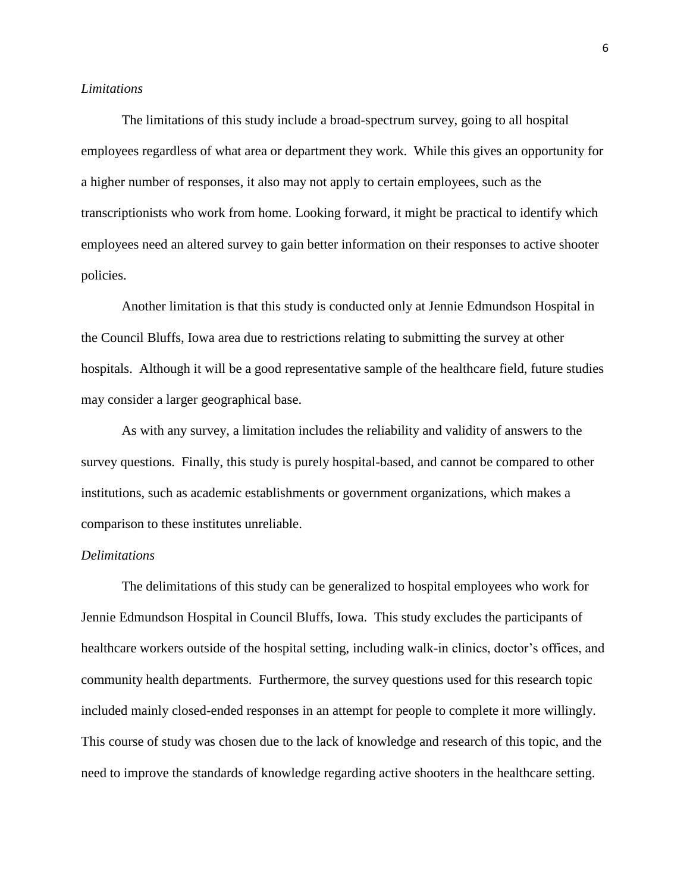#### *Limitations*

The limitations of this study include a broad-spectrum survey, going to all hospital employees regardless of what area or department they work. While this gives an opportunity for a higher number of responses, it also may not apply to certain employees, such as the transcriptionists who work from home. Looking forward, it might be practical to identify which employees need an altered survey to gain better information on their responses to active shooter policies.

Another limitation is that this study is conducted only at Jennie Edmundson Hospital in the Council Bluffs, Iowa area due to restrictions relating to submitting the survey at other hospitals. Although it will be a good representative sample of the healthcare field, future studies may consider a larger geographical base.

As with any survey, a limitation includes the reliability and validity of answers to the survey questions. Finally, this study is purely hospital-based, and cannot be compared to other institutions, such as academic establishments or government organizations, which makes a comparison to these institutes unreliable.

#### *Delimitations*

The delimitations of this study can be generalized to hospital employees who work for Jennie Edmundson Hospital in Council Bluffs, Iowa. This study excludes the participants of healthcare workers outside of the hospital setting, including walk-in clinics, doctor's offices, and community health departments. Furthermore, the survey questions used for this research topic included mainly closed-ended responses in an attempt for people to complete it more willingly. This course of study was chosen due to the lack of knowledge and research of this topic, and the need to improve the standards of knowledge regarding active shooters in the healthcare setting.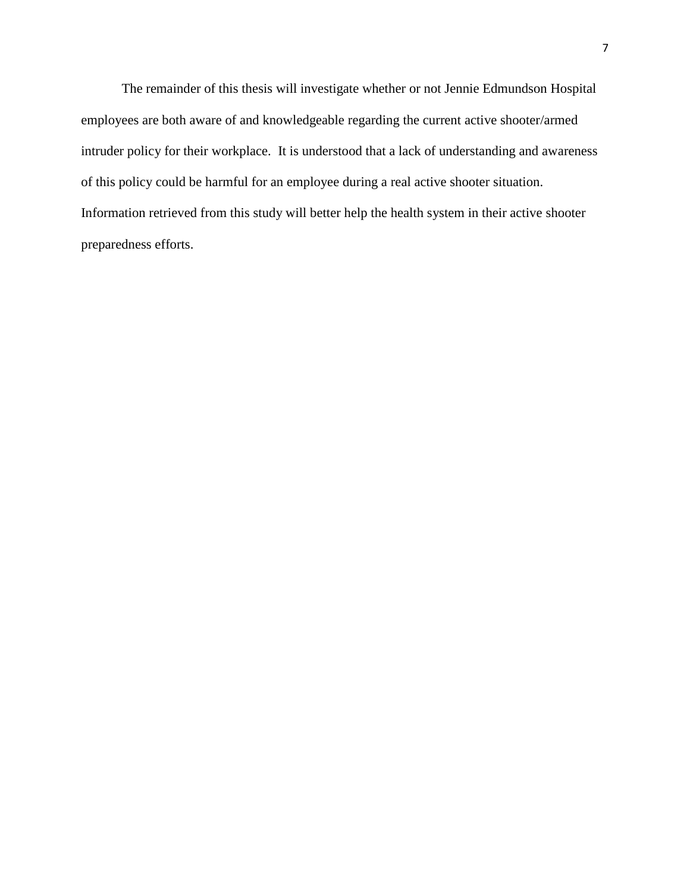The remainder of this thesis will investigate whether or not Jennie Edmundson Hospital employees are both aware of and knowledgeable regarding the current active shooter/armed intruder policy for their workplace. It is understood that a lack of understanding and awareness of this policy could be harmful for an employee during a real active shooter situation. Information retrieved from this study will better help the health system in their active shooter preparedness efforts.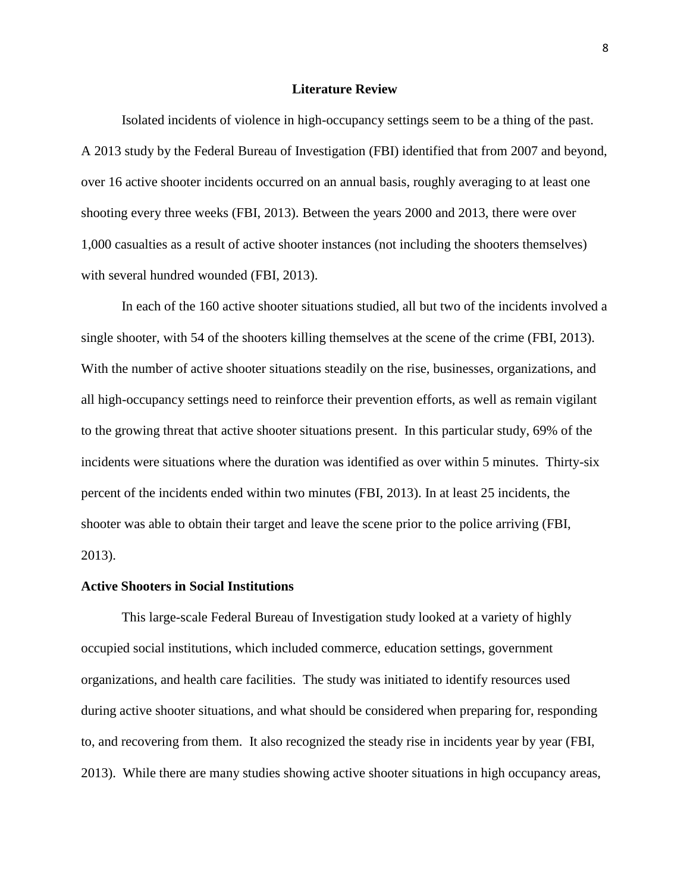#### **Literature Review**

Isolated incidents of violence in high-occupancy settings seem to be a thing of the past. A 2013 study by the Federal Bureau of Investigation (FBI) identified that from 2007 and beyond, over 16 active shooter incidents occurred on an annual basis, roughly averaging to at least one shooting every three weeks (FBI, 2013). Between the years 2000 and 2013, there were over 1,000 casualties as a result of active shooter instances (not including the shooters themselves) with several hundred wounded (FBI, 2013).

In each of the 160 active shooter situations studied, all but two of the incidents involved a single shooter, with 54 of the shooters killing themselves at the scene of the crime (FBI, 2013). With the number of active shooter situations steadily on the rise, businesses, organizations, and all high-occupancy settings need to reinforce their prevention efforts, as well as remain vigilant to the growing threat that active shooter situations present. In this particular study, 69% of the incidents were situations where the duration was identified as over within 5 minutes. Thirty-six percent of the incidents ended within two minutes (FBI, 2013). In at least 25 incidents, the shooter was able to obtain their target and leave the scene prior to the police arriving (FBI, 2013).

#### **Active Shooters in Social Institutions**

This large-scale Federal Bureau of Investigation study looked at a variety of highly occupied social institutions, which included commerce, education settings, government organizations, and health care facilities. The study was initiated to identify resources used during active shooter situations, and what should be considered when preparing for, responding to, and recovering from them. It also recognized the steady rise in incidents year by year (FBI, 2013). While there are many studies showing active shooter situations in high occupancy areas,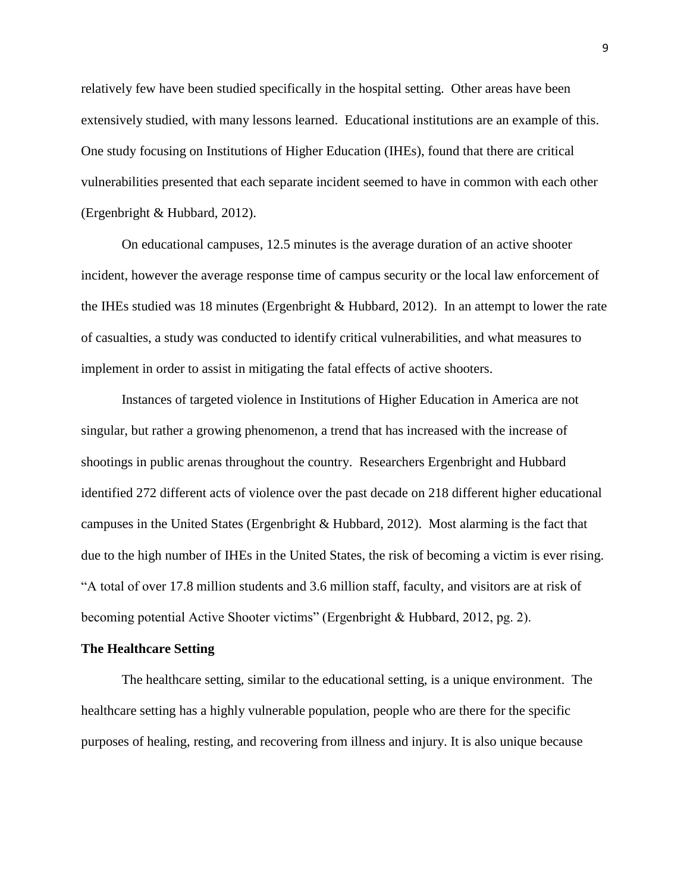relatively few have been studied specifically in the hospital setting. Other areas have been extensively studied, with many lessons learned. Educational institutions are an example of this. One study focusing on Institutions of Higher Education (IHEs), found that there are critical vulnerabilities presented that each separate incident seemed to have in common with each other (Ergenbright & Hubbard, 2012).

On educational campuses, 12.5 minutes is the average duration of an active shooter incident, however the average response time of campus security or the local law enforcement of the IHEs studied was 18 minutes (Ergenbright & Hubbard, 2012). In an attempt to lower the rate of casualties, a study was conducted to identify critical vulnerabilities, and what measures to implement in order to assist in mitigating the fatal effects of active shooters.

Instances of targeted violence in Institutions of Higher Education in America are not singular, but rather a growing phenomenon, a trend that has increased with the increase of shootings in public arenas throughout the country. Researchers Ergenbright and Hubbard identified 272 different acts of violence over the past decade on 218 different higher educational campuses in the United States (Ergenbright & Hubbard, 2012). Most alarming is the fact that due to the high number of IHEs in the United States, the risk of becoming a victim is ever rising. "A total of over 17.8 million students and 3.6 million staff, faculty, and visitors are at risk of becoming potential Active Shooter victims" (Ergenbright & Hubbard, 2012, pg. 2).

#### **The Healthcare Setting**

The healthcare setting, similar to the educational setting, is a unique environment. The healthcare setting has a highly vulnerable population, people who are there for the specific purposes of healing, resting, and recovering from illness and injury. It is also unique because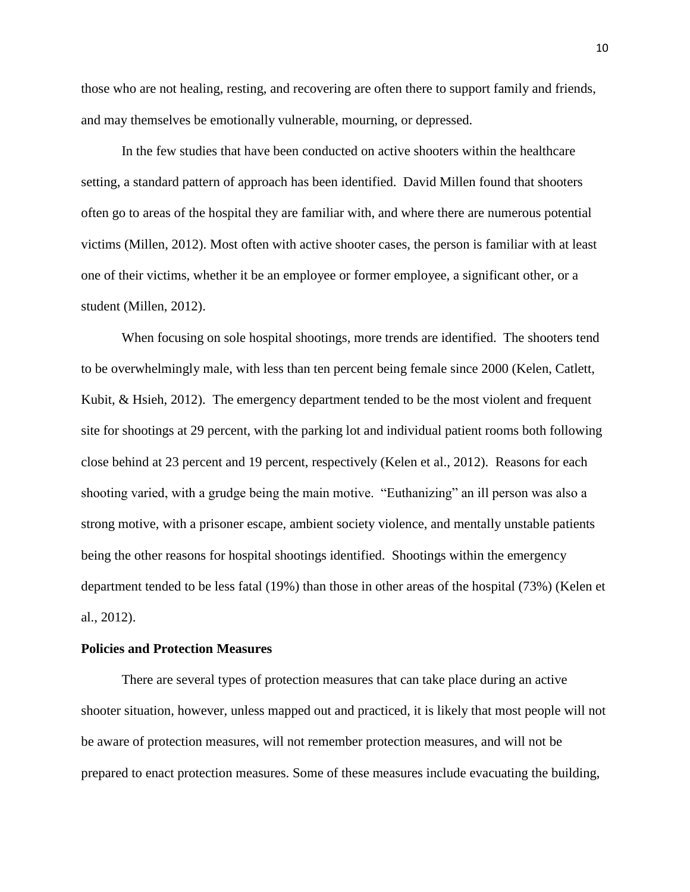those who are not healing, resting, and recovering are often there to support family and friends, and may themselves be emotionally vulnerable, mourning, or depressed.

In the few studies that have been conducted on active shooters within the healthcare setting, a standard pattern of approach has been identified. David Millen found that shooters often go to areas of the hospital they are familiar with, and where there are numerous potential victims (Millen, 2012). Most often with active shooter cases, the person is familiar with at least one of their victims, whether it be an employee or former employee, a significant other, or a student (Millen, 2012).

When focusing on sole hospital shootings, more trends are identified. The shooters tend to be overwhelmingly male, with less than ten percent being female since 2000 (Kelen, Catlett, Kubit, & Hsieh, 2012). The emergency department tended to be the most violent and frequent site for shootings at 29 percent, with the parking lot and individual patient rooms both following close behind at 23 percent and 19 percent, respectively (Kelen et al., 2012). Reasons for each shooting varied, with a grudge being the main motive. "Euthanizing" an ill person was also a strong motive, with a prisoner escape, ambient society violence, and mentally unstable patients being the other reasons for hospital shootings identified. Shootings within the emergency department tended to be less fatal (19%) than those in other areas of the hospital (73%) (Kelen et al., 2012).

#### **Policies and Protection Measures**

There are several types of protection measures that can take place during an active shooter situation, however, unless mapped out and practiced, it is likely that most people will not be aware of protection measures, will not remember protection measures, and will not be prepared to enact protection measures. Some of these measures include evacuating the building,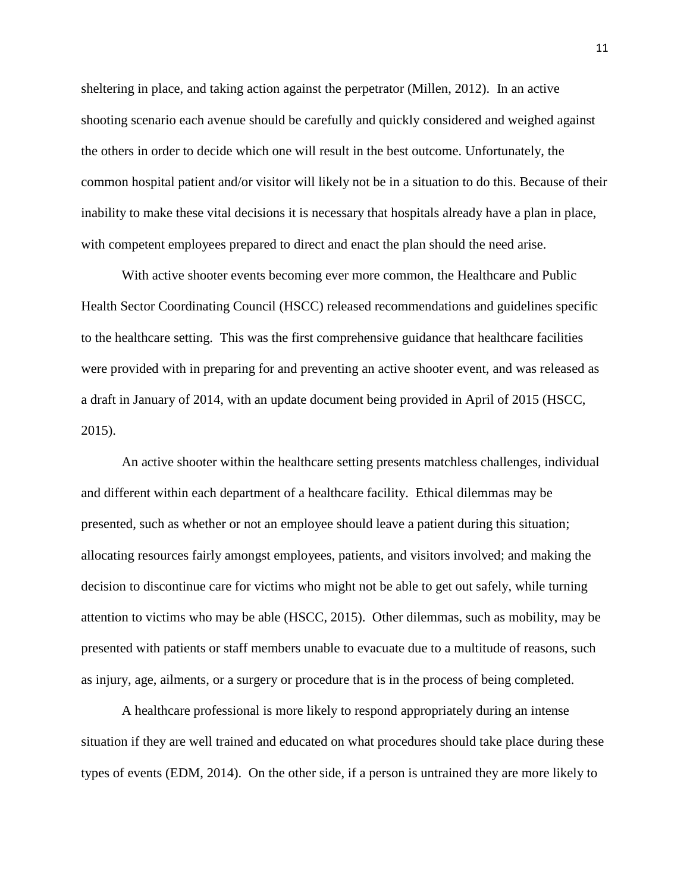sheltering in place, and taking action against the perpetrator (Millen, 2012). In an active shooting scenario each avenue should be carefully and quickly considered and weighed against the others in order to decide which one will result in the best outcome. Unfortunately, the common hospital patient and/or visitor will likely not be in a situation to do this. Because of their inability to make these vital decisions it is necessary that hospitals already have a plan in place, with competent employees prepared to direct and enact the plan should the need arise.

With active shooter events becoming ever more common, the Healthcare and Public Health Sector Coordinating Council (HSCC) released recommendations and guidelines specific to the healthcare setting. This was the first comprehensive guidance that healthcare facilities were provided with in preparing for and preventing an active shooter event, and was released as a draft in January of 2014, with an update document being provided in April of 2015 (HSCC, 2015).

An active shooter within the healthcare setting presents matchless challenges, individual and different within each department of a healthcare facility. Ethical dilemmas may be presented, such as whether or not an employee should leave a patient during this situation; allocating resources fairly amongst employees, patients, and visitors involved; and making the decision to discontinue care for victims who might not be able to get out safely, while turning attention to victims who may be able (HSCC, 2015). Other dilemmas, such as mobility, may be presented with patients or staff members unable to evacuate due to a multitude of reasons, such as injury, age, ailments, or a surgery or procedure that is in the process of being completed.

A healthcare professional is more likely to respond appropriately during an intense situation if they are well trained and educated on what procedures should take place during these types of events (EDM, 2014). On the other side, if a person is untrained they are more likely to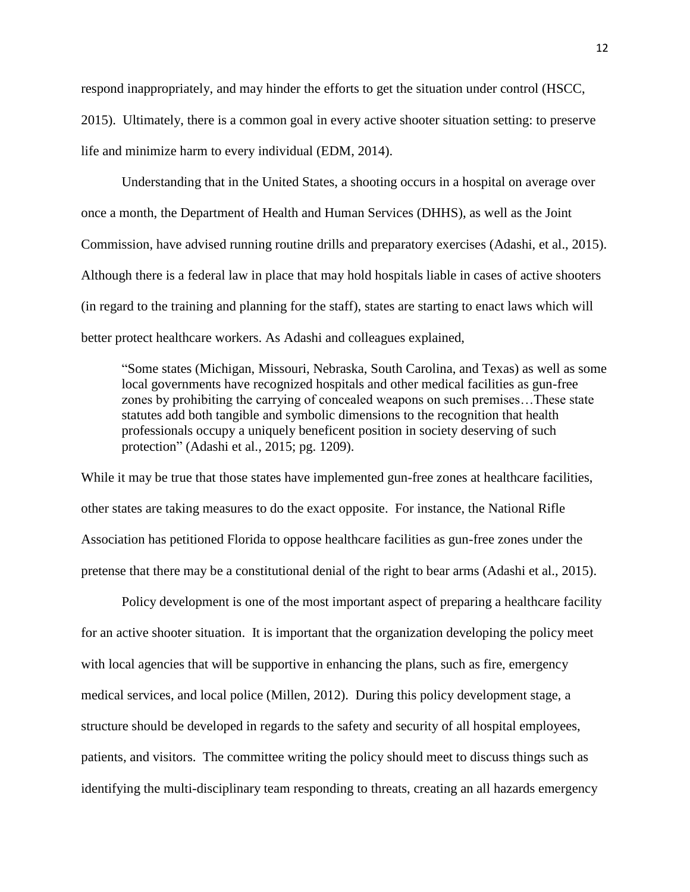respond inappropriately, and may hinder the efforts to get the situation under control (HSCC, 2015). Ultimately, there is a common goal in every active shooter situation setting: to preserve life and minimize harm to every individual (EDM, 2014).

Understanding that in the United States, a shooting occurs in a hospital on average over once a month, the Department of Health and Human Services (DHHS), as well as the Joint Commission, have advised running routine drills and preparatory exercises (Adashi, et al., 2015). Although there is a federal law in place that may hold hospitals liable in cases of active shooters (in regard to the training and planning for the staff), states are starting to enact laws which will better protect healthcare workers. As Adashi and colleagues explained,

"Some states (Michigan, Missouri, Nebraska, South Carolina, and Texas) as well as some local governments have recognized hospitals and other medical facilities as gun-free zones by prohibiting the carrying of concealed weapons on such premises…These state statutes add both tangible and symbolic dimensions to the recognition that health professionals occupy a uniquely beneficent position in society deserving of such protection" (Adashi et al., 2015; pg. 1209).

While it may be true that those states have implemented gun-free zones at healthcare facilities, other states are taking measures to do the exact opposite. For instance, the National Rifle Association has petitioned Florida to oppose healthcare facilities as gun-free zones under the pretense that there may be a constitutional denial of the right to bear arms (Adashi et al., 2015).

Policy development is one of the most important aspect of preparing a healthcare facility for an active shooter situation. It is important that the organization developing the policy meet with local agencies that will be supportive in enhancing the plans, such as fire, emergency medical services, and local police (Millen, 2012). During this policy development stage, a structure should be developed in regards to the safety and security of all hospital employees, patients, and visitors. The committee writing the policy should meet to discuss things such as identifying the multi-disciplinary team responding to threats, creating an all hazards emergency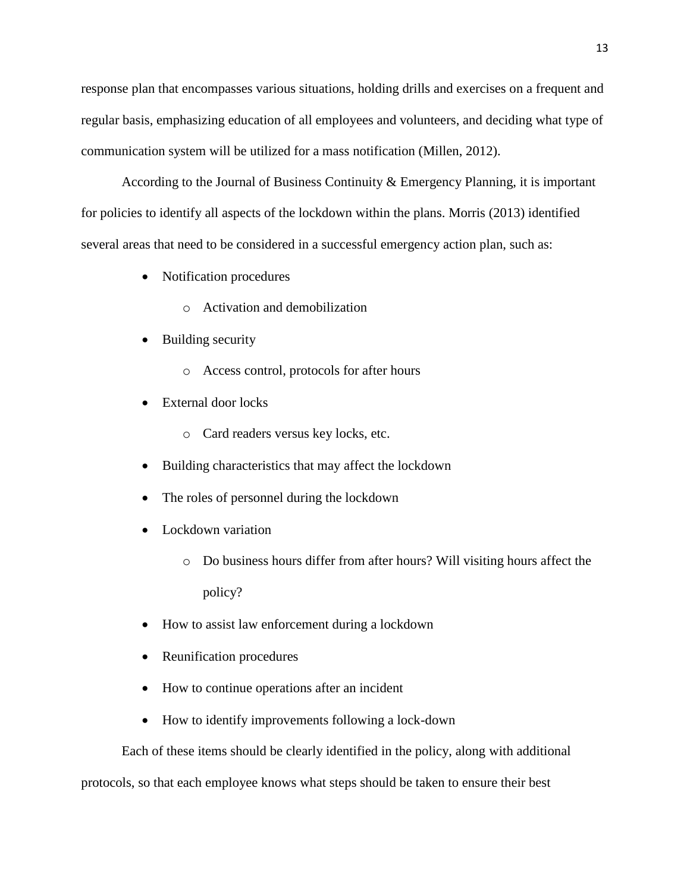response plan that encompasses various situations, holding drills and exercises on a frequent and regular basis, emphasizing education of all employees and volunteers, and deciding what type of communication system will be utilized for a mass notification (Millen, 2012).

According to the Journal of Business Continuity & Emergency Planning, it is important for policies to identify all aspects of the lockdown within the plans. Morris (2013) identified several areas that need to be considered in a successful emergency action plan, such as:

- Notification procedures
	- o Activation and demobilization
- Building security
	- o Access control, protocols for after hours
- External door locks
	- o Card readers versus key locks, etc.
- Building characteristics that may affect the lockdown
- The roles of personnel during the lockdown
- Lockdown variation
	- o Do business hours differ from after hours? Will visiting hours affect the policy?
- How to assist law enforcement during a lockdown
- Reunification procedures
- How to continue operations after an incident
- How to identify improvements following a lock-down

Each of these items should be clearly identified in the policy, along with additional

protocols, so that each employee knows what steps should be taken to ensure their best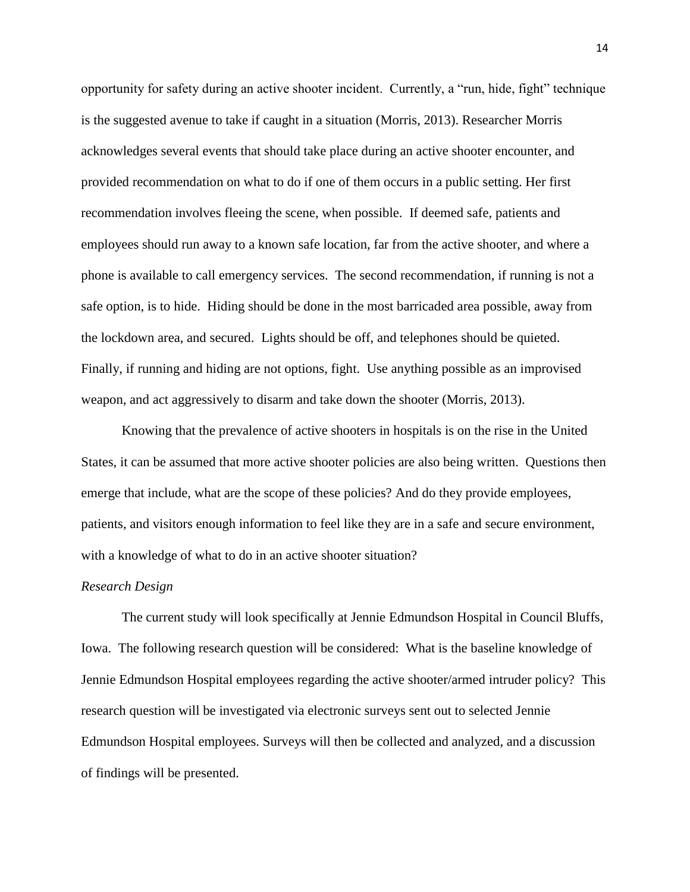opportunity for safety during an active shooter incident. Currently, a "run, hide, fight" technique is the suggested avenue to take if caught in a situation (Morris, 2013). Researcher Morris acknowledges several events that should take place during an active shooter encounter, and provided recommendation on what to do if one of them occurs in a public setting. Her first recommendation involves fleeing the scene, when possible. If deemed safe, patients and employees should run away to a known safe location, far from the active shooter, and where a phone is available to call emergency services. The second recommendation, if running is not a safe option, is to hide. Hiding should be done in the most barricaded area possible, away from the lockdown area, and secured. Lights should be off, and telephones should be quieted. Finally, if running and hiding are not options, fight. Use anything possible as an improvised weapon, and act aggressively to disarm and take down the shooter (Morris, 2013).

Knowing that the prevalence of active shooters in hospitals is on the rise in the United States, it can be assumed that more active shooter policies are also being written. Questions then emerge that include, what are the scope of these policies? And do they provide employees, patients, and visitors enough information to feel like they are in a safe and secure environment, with a knowledge of what to do in an active shooter situation?

#### *Research Design*

The current study will look specifically at Jennie Edmundson Hospital in Council Bluffs, Iowa. The following research question will be considered: What is the baseline knowledge of Jennie Edmundson Hospital employees regarding the active shooter/armed intruder policy? This research question will be investigated via electronic surveys sent out to selected Jennie Edmundson Hospital employees. Surveys will then be collected and analyzed, and a discussion of findings will be presented.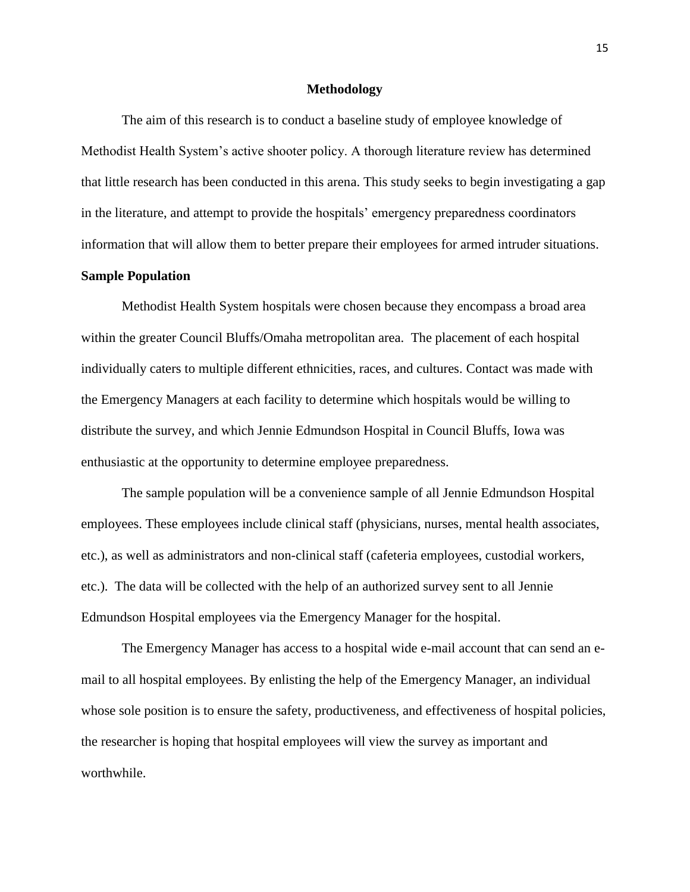#### **Methodology**

The aim of this research is to conduct a baseline study of employee knowledge of Methodist Health System's active shooter policy. A thorough literature review has determined that little research has been conducted in this arena. This study seeks to begin investigating a gap in the literature, and attempt to provide the hospitals' emergency preparedness coordinators information that will allow them to better prepare their employees for armed intruder situations.

#### **Sample Population**

Methodist Health System hospitals were chosen because they encompass a broad area within the greater Council Bluffs/Omaha metropolitan area. The placement of each hospital individually caters to multiple different ethnicities, races, and cultures. Contact was made with the Emergency Managers at each facility to determine which hospitals would be willing to distribute the survey, and which Jennie Edmundson Hospital in Council Bluffs, Iowa was enthusiastic at the opportunity to determine employee preparedness.

The sample population will be a convenience sample of all Jennie Edmundson Hospital employees. These employees include clinical staff (physicians, nurses, mental health associates, etc.), as well as administrators and non-clinical staff (cafeteria employees, custodial workers, etc.). The data will be collected with the help of an authorized survey sent to all Jennie Edmundson Hospital employees via the Emergency Manager for the hospital.

The Emergency Manager has access to a hospital wide e-mail account that can send an email to all hospital employees. By enlisting the help of the Emergency Manager, an individual whose sole position is to ensure the safety, productiveness, and effectiveness of hospital policies, the researcher is hoping that hospital employees will view the survey as important and worthwhile.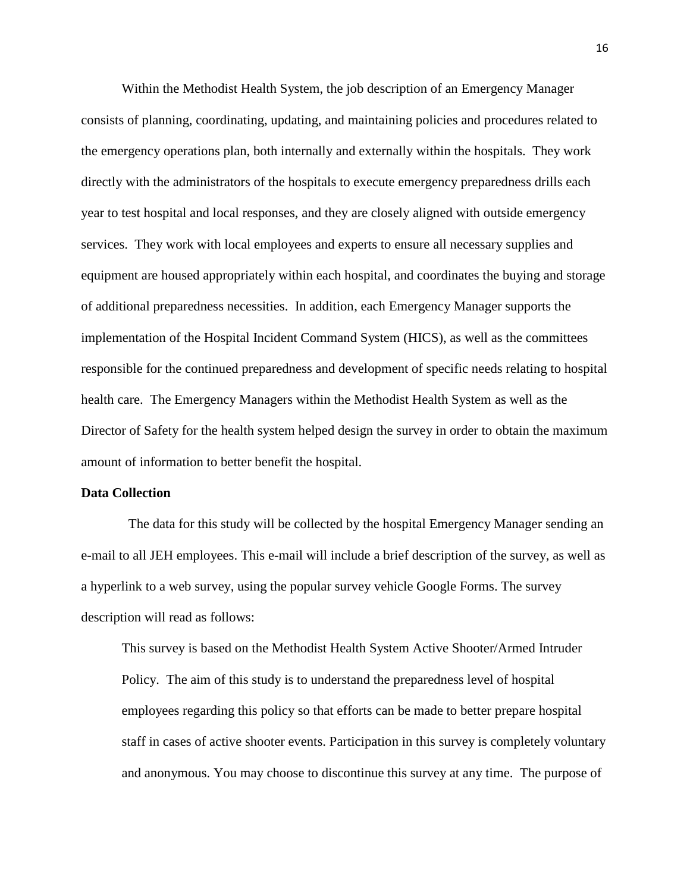Within the Methodist Health System, the job description of an Emergency Manager consists of planning, coordinating, updating, and maintaining policies and procedures related to the emergency operations plan, both internally and externally within the hospitals. They work directly with the administrators of the hospitals to execute emergency preparedness drills each year to test hospital and local responses, and they are closely aligned with outside emergency services. They work with local employees and experts to ensure all necessary supplies and equipment are housed appropriately within each hospital, and coordinates the buying and storage of additional preparedness necessities. In addition, each Emergency Manager supports the implementation of the Hospital Incident Command System (HICS), as well as the committees responsible for the continued preparedness and development of specific needs relating to hospital health care. The Emergency Managers within the Methodist Health System as well as the Director of Safety for the health system helped design the survey in order to obtain the maximum amount of information to better benefit the hospital.

#### **Data Collection**

The data for this study will be collected by the hospital Emergency Manager sending an e-mail to all JEH employees. This e-mail will include a brief description of the survey, as well as a hyperlink to a web survey, using the popular survey vehicle Google Forms. The survey description will read as follows:

This survey is based on the Methodist Health System Active Shooter/Armed Intruder Policy. The aim of this study is to understand the preparedness level of hospital employees regarding this policy so that efforts can be made to better prepare hospital staff in cases of active shooter events. Participation in this survey is completely voluntary and anonymous. You may choose to discontinue this survey at any time. The purpose of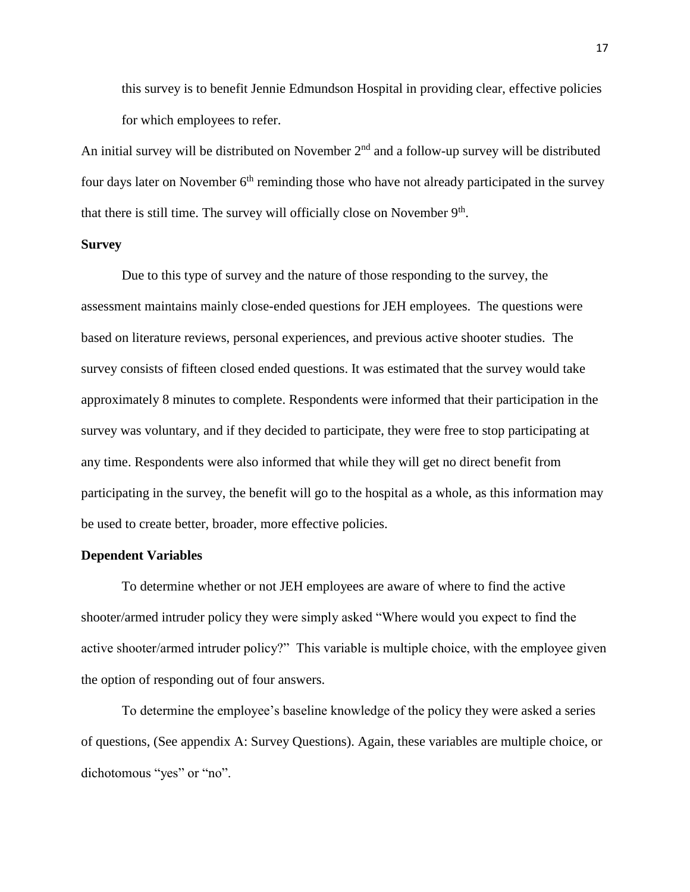this survey is to benefit Jennie Edmundson Hospital in providing clear, effective policies for which employees to refer.

An initial survey will be distributed on November  $2<sup>nd</sup>$  and a follow-up survey will be distributed four days later on November  $6<sup>th</sup>$  reminding those who have not already participated in the survey that there is still time. The survey will officially close on November  $9<sup>th</sup>$ .

#### **Survey**

Due to this type of survey and the nature of those responding to the survey, the assessment maintains mainly close-ended questions for JEH employees. The questions were based on literature reviews, personal experiences, and previous active shooter studies. The survey consists of fifteen closed ended questions. It was estimated that the survey would take approximately 8 minutes to complete. Respondents were informed that their participation in the survey was voluntary, and if they decided to participate, they were free to stop participating at any time. Respondents were also informed that while they will get no direct benefit from participating in the survey, the benefit will go to the hospital as a whole, as this information may be used to create better, broader, more effective policies.

#### **Dependent Variables**

To determine whether or not JEH employees are aware of where to find the active shooter/armed intruder policy they were simply asked "Where would you expect to find the active shooter/armed intruder policy?" This variable is multiple choice, with the employee given the option of responding out of four answers.

To determine the employee's baseline knowledge of the policy they were asked a series of questions, (See appendix A: Survey Questions). Again, these variables are multiple choice, or dichotomous "yes" or "no".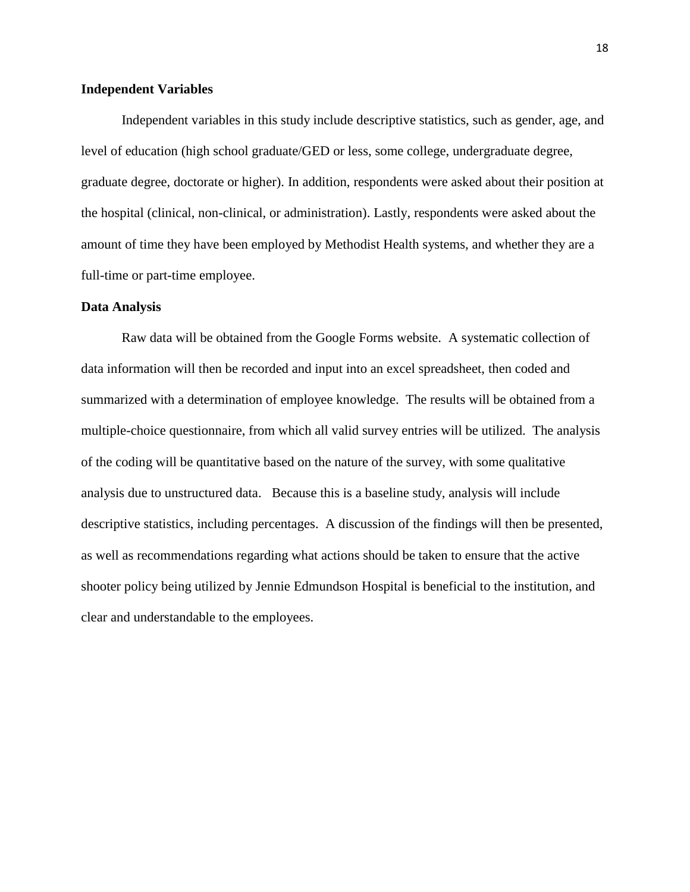#### **Independent Variables**

Independent variables in this study include descriptive statistics, such as gender, age, and level of education (high school graduate/GED or less, some college, undergraduate degree, graduate degree, doctorate or higher). In addition, respondents were asked about their position at the hospital (clinical, non-clinical, or administration). Lastly, respondents were asked about the amount of time they have been employed by Methodist Health systems, and whether they are a full-time or part-time employee.

#### **Data Analysis**

Raw data will be obtained from the Google Forms website. A systematic collection of data information will then be recorded and input into an excel spreadsheet, then coded and summarized with a determination of employee knowledge. The results will be obtained from a multiple-choice questionnaire, from which all valid survey entries will be utilized. The analysis of the coding will be quantitative based on the nature of the survey, with some qualitative analysis due to unstructured data. Because this is a baseline study, analysis will include descriptive statistics, including percentages. A discussion of the findings will then be presented, as well as recommendations regarding what actions should be taken to ensure that the active shooter policy being utilized by Jennie Edmundson Hospital is beneficial to the institution, and clear and understandable to the employees.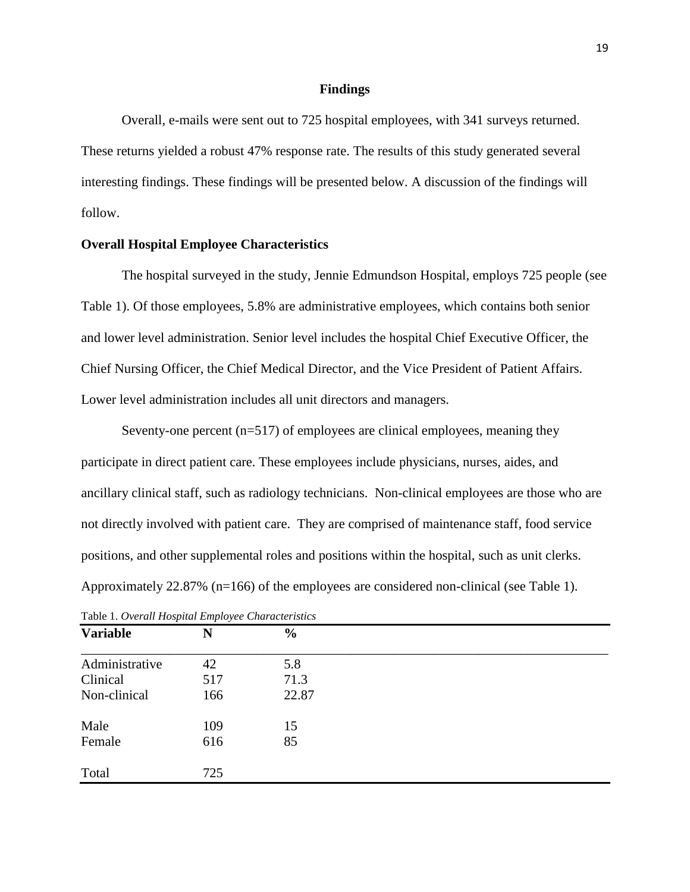#### **Findings**

Overall, e-mails were sent out to 725 hospital employees, with 341 surveys returned. These returns yielded a robust 47% response rate. The results of this study generated several interesting findings. These findings will be presented below. A discussion of the findings will follow.

#### **Overall Hospital Employee Characteristics**

The hospital surveyed in the study, Jennie Edmundson Hospital, employs 725 people (see Table 1). Of those employees, 5.8% are administrative employees, which contains both senior and lower level administration. Senior level includes the hospital Chief Executive Officer, the Chief Nursing Officer, the Chief Medical Director, and the Vice President of Patient Affairs. Lower level administration includes all unit directors and managers.

Seventy-one percent  $(n=517)$  of employees are clinical employees, meaning they participate in direct patient care. These employees include physicians, nurses, aides, and ancillary clinical staff, such as radiology technicians. Non-clinical employees are those who are not directly involved with patient care. They are comprised of maintenance staff, food service positions, and other supplemental roles and positions within the hospital, such as unit clerks. Approximately 22.87% (n=166) of the employees are considered non-clinical (see Table 1).

| <b>Variable</b> | N   | $\frac{6}{6}$ |  |  |
|-----------------|-----|---------------|--|--|
| Administrative  | 42  | 5.8           |  |  |
| Clinical        | 517 | 71.3          |  |  |
| Non-clinical    | 166 | 22.87         |  |  |
| Male            | 109 | 15            |  |  |
| Female          | 616 | 85            |  |  |
| Total           | 725 |               |  |  |

Table 1. *Overall Hospital Employee Characteristics*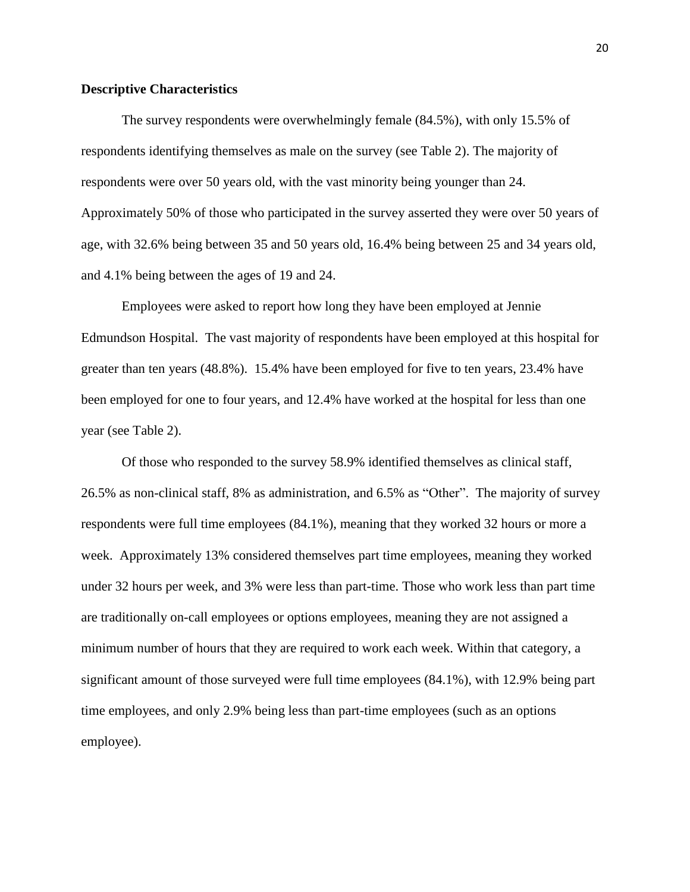#### **Descriptive Characteristics**

The survey respondents were overwhelmingly female (84.5%), with only 15.5% of respondents identifying themselves as male on the survey (see Table 2). The majority of respondents were over 50 years old, with the vast minority being younger than 24. Approximately 50% of those who participated in the survey asserted they were over 50 years of age, with 32.6% being between 35 and 50 years old, 16.4% being between 25 and 34 years old, and 4.1% being between the ages of 19 and 24.

Employees were asked to report how long they have been employed at Jennie Edmundson Hospital. The vast majority of respondents have been employed at this hospital for greater than ten years (48.8%). 15.4% have been employed for five to ten years, 23.4% have been employed for one to four years, and 12.4% have worked at the hospital for less than one year (see Table 2).

Of those who responded to the survey 58.9% identified themselves as clinical staff, 26.5% as non-clinical staff, 8% as administration, and 6.5% as "Other". The majority of survey respondents were full time employees (84.1%), meaning that they worked 32 hours or more a week. Approximately 13% considered themselves part time employees, meaning they worked under 32 hours per week, and 3% were less than part-time. Those who work less than part time are traditionally on-call employees or options employees, meaning they are not assigned a minimum number of hours that they are required to work each week. Within that category, a significant amount of those surveyed were full time employees (84.1%), with 12.9% being part time employees, and only 2.9% being less than part-time employees (such as an options employee).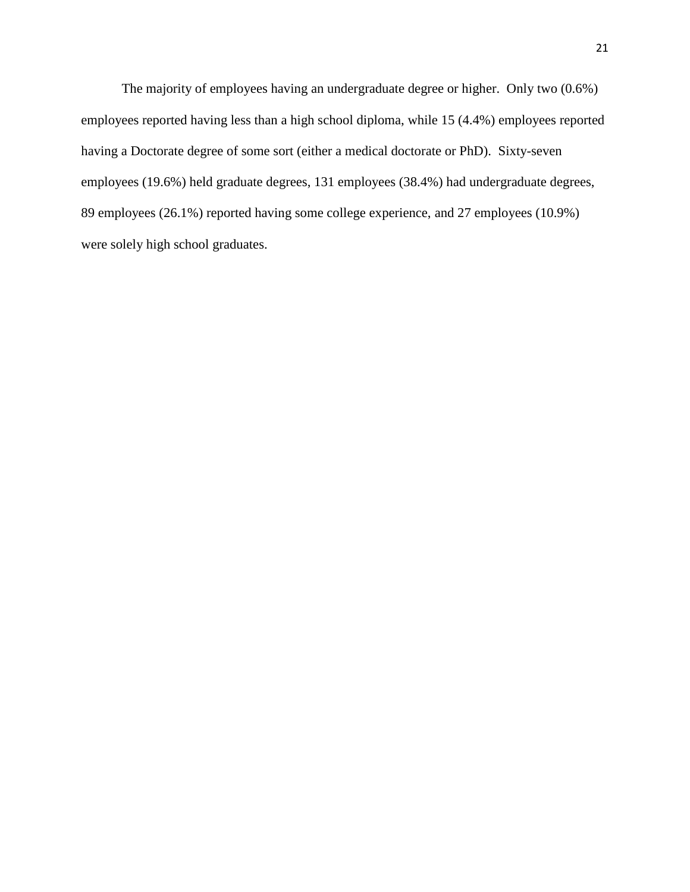The majority of employees having an undergraduate degree or higher. Only two (0.6%) employees reported having less than a high school diploma, while 15 (4.4%) employees reported having a Doctorate degree of some sort (either a medical doctorate or PhD). Sixty-seven employees (19.6%) held graduate degrees, 131 employees (38.4%) had undergraduate degrees, 89 employees (26.1%) reported having some college experience, and 27 employees (10.9%) were solely high school graduates.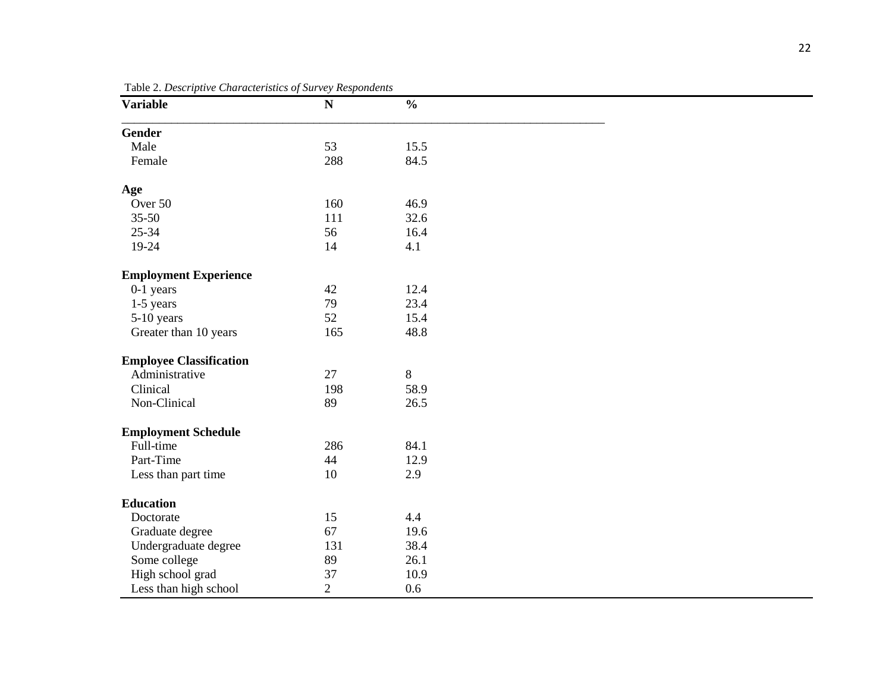| <b>Variable</b>                | $\sim$ $\cdots$ $\sim$ $\sim$<br>$1.000$ $0.0000$<br>$\mathbf N$ | $\frac{0}{0}$ |  |
|--------------------------------|------------------------------------------------------------------|---------------|--|
| Gender                         |                                                                  |               |  |
| Male                           | 53                                                               | 15.5          |  |
| Female                         | 288                                                              | 84.5          |  |
| Age                            |                                                                  |               |  |
| Over 50                        | 160                                                              | 46.9          |  |
| $35 - 50$                      | 111                                                              | 32.6          |  |
| $25 - 34$                      | 56                                                               | 16.4          |  |
| 19-24                          | 14                                                               | 4.1           |  |
| <b>Employment Experience</b>   |                                                                  |               |  |
| $0-1$ years                    | 42                                                               | 12.4          |  |
| 1-5 years                      | 79                                                               | 23.4          |  |
| 5-10 years                     | 52                                                               | 15.4          |  |
| Greater than 10 years          | 165                                                              | 48.8          |  |
| <b>Employee Classification</b> |                                                                  |               |  |
| Administrative                 | 27                                                               | 8             |  |
| Clinical                       | 198                                                              | 58.9          |  |
| Non-Clinical                   | 89                                                               | 26.5          |  |
| <b>Employment Schedule</b>     |                                                                  |               |  |
| Full-time                      | 286                                                              | 84.1          |  |
| Part-Time                      | 44                                                               | 12.9          |  |
| Less than part time            | $10\,$                                                           | 2.9           |  |
| <b>Education</b>               |                                                                  |               |  |
| Doctorate                      | 15                                                               | 4.4           |  |
| Graduate degree                | 67                                                               | 19.6          |  |
| Undergraduate degree           | 131                                                              | 38.4          |  |
| Some college                   | 89                                                               | 26.1          |  |
| High school grad               | 37                                                               | 10.9          |  |
| Less than high school          | $\overline{2}$                                                   | 0.6           |  |

Table 2. *Descriptive Characteristics of Survey Respondents*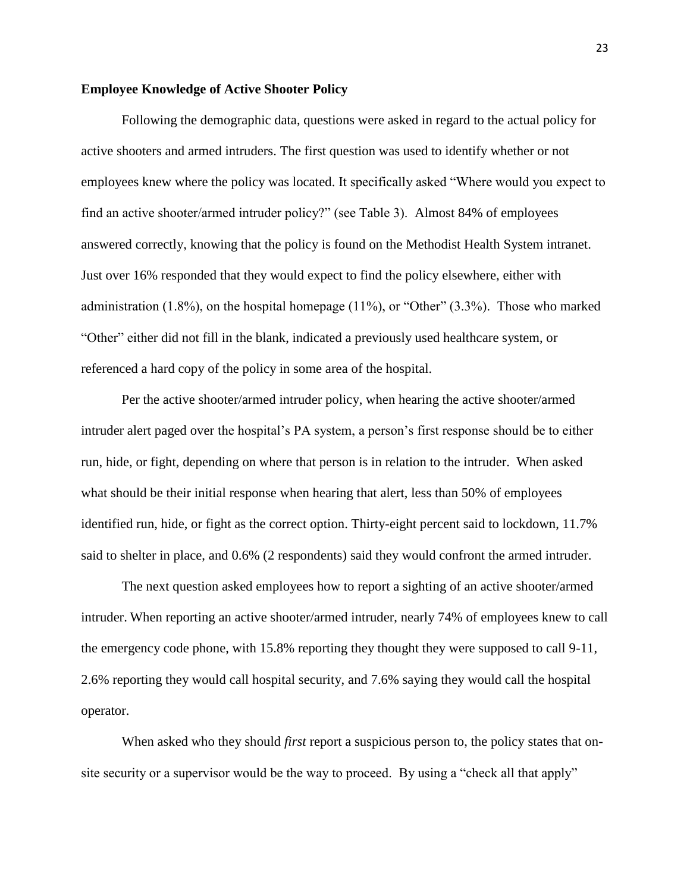#### **Employee Knowledge of Active Shooter Policy**

Following the demographic data, questions were asked in regard to the actual policy for active shooters and armed intruders. The first question was used to identify whether or not employees knew where the policy was located. It specifically asked "Where would you expect to find an active shooter/armed intruder policy?" (see Table 3). Almost 84% of employees answered correctly, knowing that the policy is found on the Methodist Health System intranet. Just over 16% responded that they would expect to find the policy elsewhere, either with administration (1.8%), on the hospital homepage (11%), or "Other" (3.3%). Those who marked "Other" either did not fill in the blank, indicated a previously used healthcare system, or referenced a hard copy of the policy in some area of the hospital.

Per the active shooter/armed intruder policy, when hearing the active shooter/armed intruder alert paged over the hospital's PA system, a person's first response should be to either run, hide, or fight, depending on where that person is in relation to the intruder. When asked what should be their initial response when hearing that alert, less than 50% of employees identified run, hide, or fight as the correct option. Thirty-eight percent said to lockdown, 11.7% said to shelter in place, and 0.6% (2 respondents) said they would confront the armed intruder.

The next question asked employees how to report a sighting of an active shooter/armed intruder. When reporting an active shooter/armed intruder, nearly 74% of employees knew to call the emergency code phone, with 15.8% reporting they thought they were supposed to call 9-11, 2.6% reporting they would call hospital security, and 7.6% saying they would call the hospital operator.

When asked who they should *first* report a suspicious person to, the policy states that onsite security or a supervisor would be the way to proceed. By using a "check all that apply"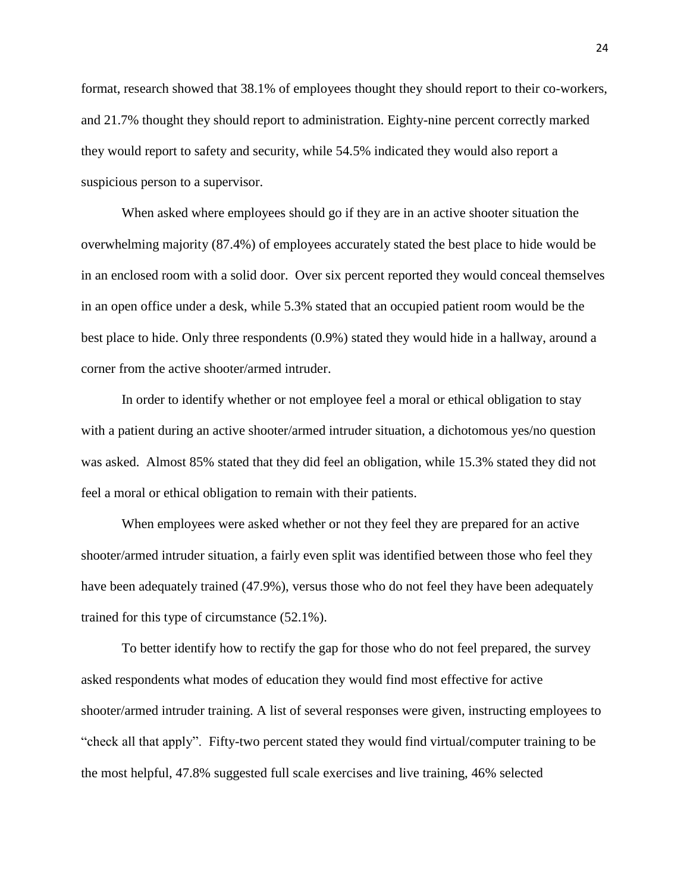format, research showed that 38.1% of employees thought they should report to their co-workers, and 21.7% thought they should report to administration. Eighty-nine percent correctly marked they would report to safety and security, while 54.5% indicated they would also report a suspicious person to a supervisor.

When asked where employees should go if they are in an active shooter situation the overwhelming majority (87.4%) of employees accurately stated the best place to hide would be in an enclosed room with a solid door. Over six percent reported they would conceal themselves in an open office under a desk, while 5.3% stated that an occupied patient room would be the best place to hide. Only three respondents (0.9%) stated they would hide in a hallway, around a corner from the active shooter/armed intruder.

In order to identify whether or not employee feel a moral or ethical obligation to stay with a patient during an active shooter/armed intruder situation, a dichotomous yes/no question was asked. Almost 85% stated that they did feel an obligation, while 15.3% stated they did not feel a moral or ethical obligation to remain with their patients.

When employees were asked whether or not they feel they are prepared for an active shooter/armed intruder situation, a fairly even split was identified between those who feel they have been adequately trained (47.9%), versus those who do not feel they have been adequately trained for this type of circumstance (52.1%).

To better identify how to rectify the gap for those who do not feel prepared, the survey asked respondents what modes of education they would find most effective for active shooter/armed intruder training. A list of several responses were given, instructing employees to "check all that apply". Fifty-two percent stated they would find virtual/computer training to be the most helpful, 47.8% suggested full scale exercises and live training, 46% selected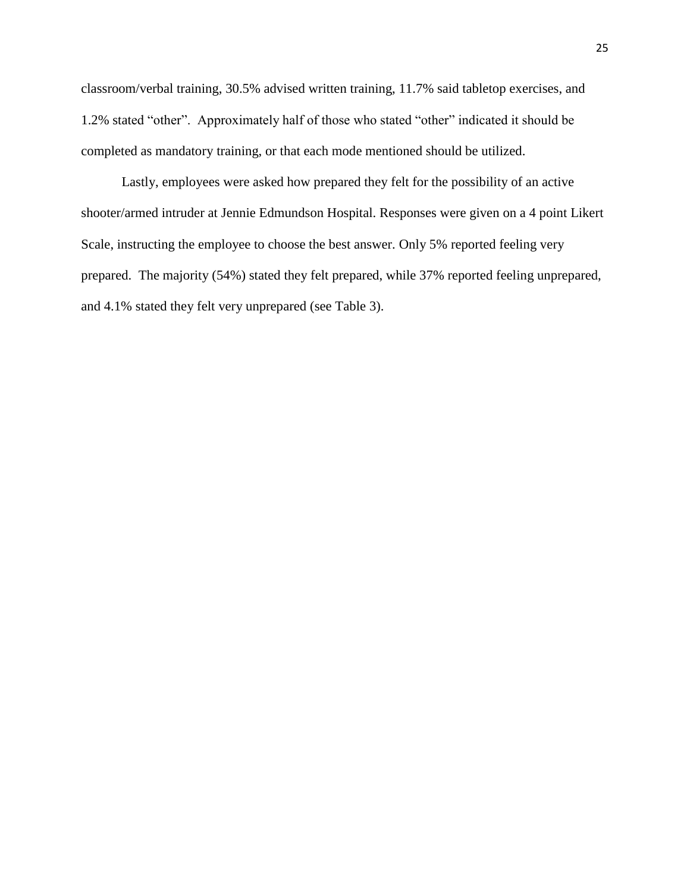classroom/verbal training, 30.5% advised written training, 11.7% said tabletop exercises, and 1.2% stated "other". Approximately half of those who stated "other" indicated it should be completed as mandatory training, or that each mode mentioned should be utilized.

Lastly, employees were asked how prepared they felt for the possibility of an active shooter/armed intruder at Jennie Edmundson Hospital. Responses were given on a 4 point Likert Scale, instructing the employee to choose the best answer. Only 5% reported feeling very prepared. The majority (54%) stated they felt prepared, while 37% reported feeling unprepared, and 4.1% stated they felt very unprepared (see Table 3).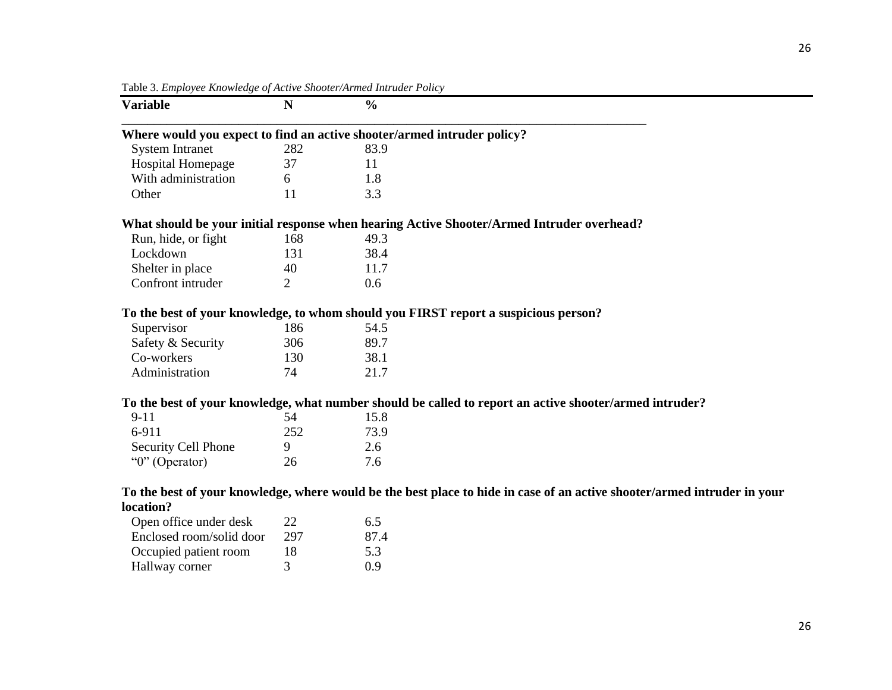| <b>Variable</b>          | N   | $\frac{0}{0}$                                                                                                            |
|--------------------------|-----|--------------------------------------------------------------------------------------------------------------------------|
|                          |     | Where would you expect to find an active shooter/armed intruder policy?                                                  |
| <b>System Intranet</b>   | 282 | 83.9                                                                                                                     |
| Hospital Homepage        | 37  | 11                                                                                                                       |
| With administration      | 6   | 1.8                                                                                                                      |
| Other                    | 11  | 3.3                                                                                                                      |
|                          |     | What should be your initial response when hearing Active Shooter/Armed Intruder overhead?                                |
| Run, hide, or fight      | 168 | 49.3                                                                                                                     |
| Lockdown                 | 131 | 38.4                                                                                                                     |
| Shelter in place         | 40  | 11.7                                                                                                                     |
| Confront intruder        | 2   | 0.6                                                                                                                      |
|                          |     | To the best of your knowledge, to whom should you FIRST report a suspicious person?                                      |
| Supervisor               | 186 | 54.5                                                                                                                     |
| Safety & Security        | 306 | 89.7                                                                                                                     |
| Co-workers               | 130 | 38.1                                                                                                                     |
| Administration           | 74  | 21.7                                                                                                                     |
|                          |     | To the best of your knowledge, what number should be called to report an active shooter/armed intruder?                  |
| $9 - 11$                 | 54  | 15.8                                                                                                                     |
| 6-911                    | 252 | 73.9                                                                                                                     |
| Security Cell Phone      | 9   | 2.6                                                                                                                      |
| "0" (Operator)           | 26  | 7.6                                                                                                                      |
|                          |     | To the best of your knowledge, where would be the best place to hide in case of an active shooter/armed intruder in your |
| location?                |     |                                                                                                                          |
| Open office under desk   | 22  | 6.5                                                                                                                      |
| Enclosed room/solid door | 297 | 87.4                                                                                                                     |
| Occupied patient room    | 18  | 5.3                                                                                                                      |
| Hallway corner           | 3   | 0.9                                                                                                                      |

Table 3. *Employee Knowledge of Active Shooter/Armed Intruder Policy*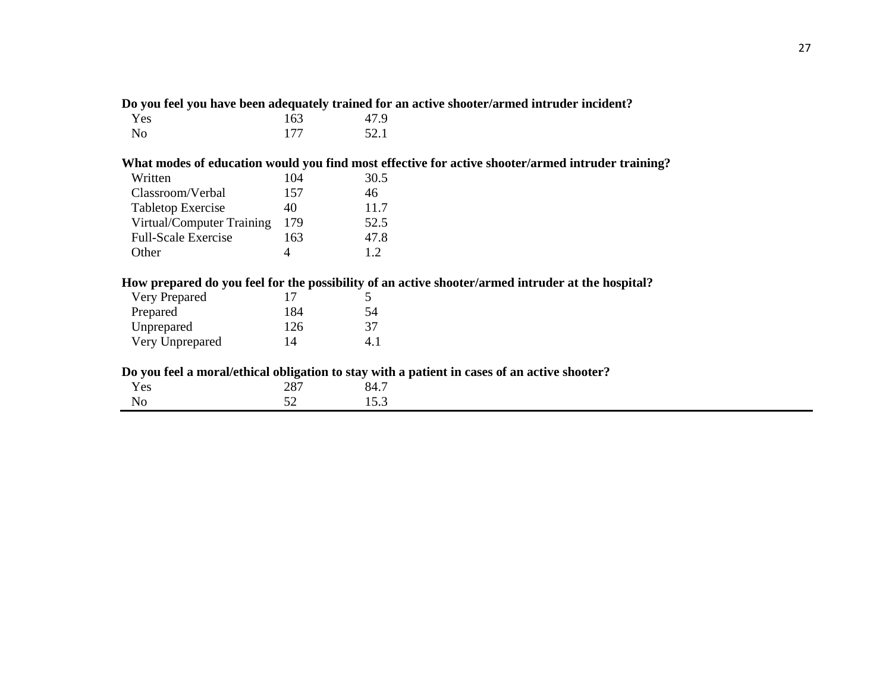|                            |     | Do you feel you have been adequately trained for an active shooter/armed intruder incident?       |
|----------------------------|-----|---------------------------------------------------------------------------------------------------|
| Yes                        | 163 | 47.9                                                                                              |
| N <sub>o</sub>             | 177 | 52.1                                                                                              |
|                            |     | What modes of education would you find most effective for active shooter/armed intruder training? |
| Written                    | 104 | 30.5                                                                                              |
| Classroom/Verbal           | 157 | 46                                                                                                |
| <b>Tabletop Exercise</b>   | 40  | 11.7                                                                                              |
| Virtual/Computer Training  | 179 | 52.5                                                                                              |
| <b>Full-Scale Exercise</b> | 163 | 47.8                                                                                              |
| Other                      | 4   | 1.2                                                                                               |
|                            |     | How prepared do you feel for the possibility of an active shooter/armed intruder at the hospital? |
| Very Prepared              | 17  | 5                                                                                                 |
| Prepared                   | 184 | 54                                                                                                |
| Unprepared                 | 126 | 37                                                                                                |
| Very Unprepared            | 14  | 4.1                                                                                               |
|                            |     | Do you feel a moral/ethical obligation to stay with a patient in cases of an active shooter?      |
| Yes                        | 287 | 84.7                                                                                              |
| No                         | 52  | 15.3                                                                                              |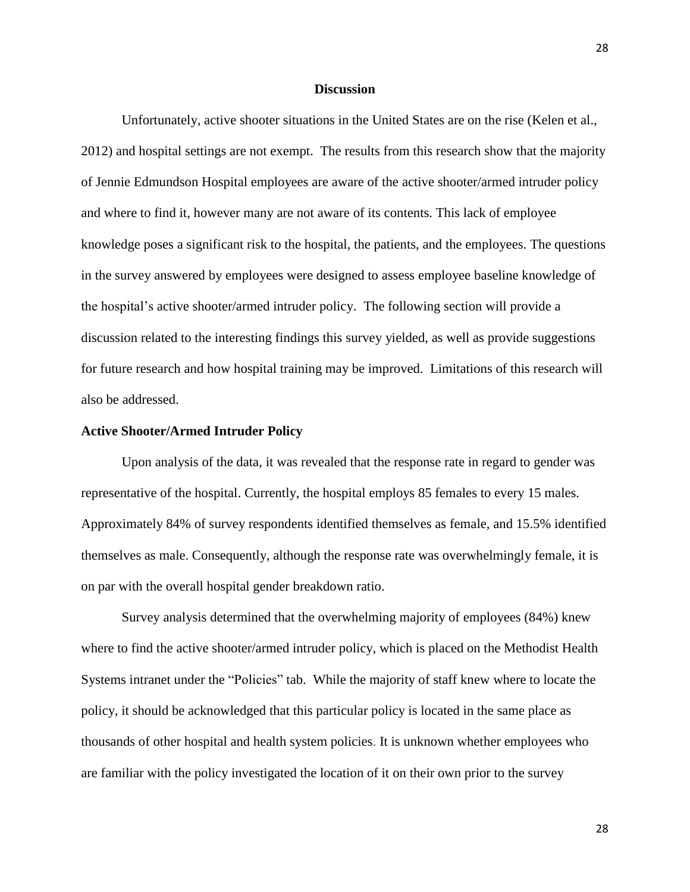#### **Discussion**

Unfortunately, active shooter situations in the United States are on the rise (Kelen et al., 2012) and hospital settings are not exempt. The results from this research show that the majority of Jennie Edmundson Hospital employees are aware of the active shooter/armed intruder policy and where to find it, however many are not aware of its contents. This lack of employee knowledge poses a significant risk to the hospital, the patients, and the employees. The questions in the survey answered by employees were designed to assess employee baseline knowledge of the hospital's active shooter/armed intruder policy. The following section will provide a discussion related to the interesting findings this survey yielded, as well as provide suggestions for future research and how hospital training may be improved. Limitations of this research will also be addressed.

#### **Active Shooter/Armed Intruder Policy**

Upon analysis of the data, it was revealed that the response rate in regard to gender was representative of the hospital. Currently, the hospital employs 85 females to every 15 males. Approximately 84% of survey respondents identified themselves as female, and 15.5% identified themselves as male. Consequently, although the response rate was overwhelmingly female, it is on par with the overall hospital gender breakdown ratio.

Survey analysis determined that the overwhelming majority of employees (84%) knew where to find the active shooter/armed intruder policy, which is placed on the Methodist Health Systems intranet under the "Policies" tab. While the majority of staff knew where to locate the policy, it should be acknowledged that this particular policy is located in the same place as thousands of other hospital and health system policies. It is unknown whether employees who are familiar with the policy investigated the location of it on their own prior to the survey

28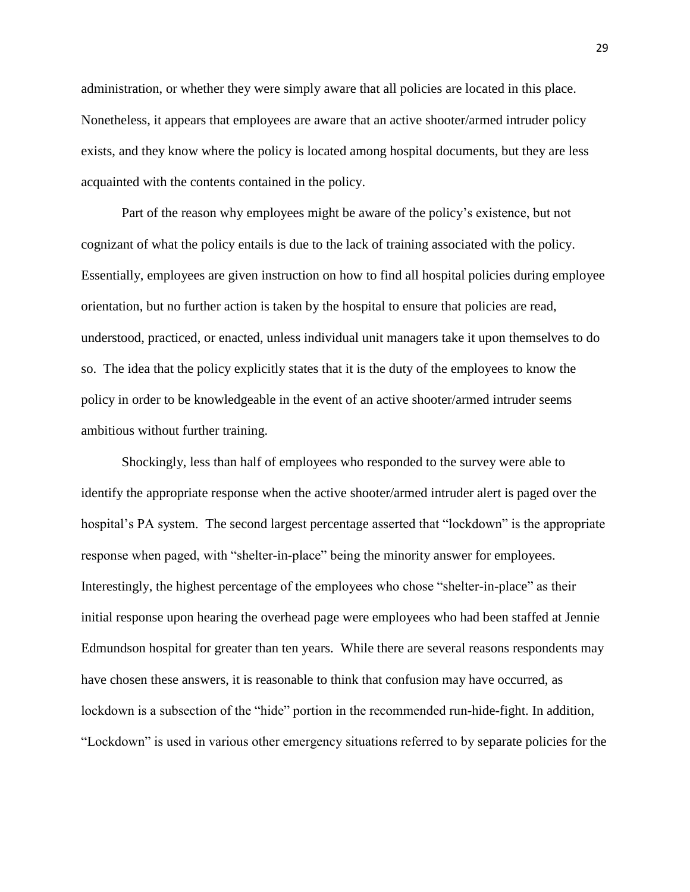administration, or whether they were simply aware that all policies are located in this place. Nonetheless, it appears that employees are aware that an active shooter/armed intruder policy exists, and they know where the policy is located among hospital documents, but they are less acquainted with the contents contained in the policy.

Part of the reason why employees might be aware of the policy's existence, but not cognizant of what the policy entails is due to the lack of training associated with the policy. Essentially, employees are given instruction on how to find all hospital policies during employee orientation, but no further action is taken by the hospital to ensure that policies are read, understood, practiced, or enacted, unless individual unit managers take it upon themselves to do so. The idea that the policy explicitly states that it is the duty of the employees to know the policy in order to be knowledgeable in the event of an active shooter/armed intruder seems ambitious without further training.

Shockingly, less than half of employees who responded to the survey were able to identify the appropriate response when the active shooter/armed intruder alert is paged over the hospital's PA system. The second largest percentage asserted that "lockdown" is the appropriate response when paged, with "shelter-in-place" being the minority answer for employees. Interestingly, the highest percentage of the employees who chose "shelter-in-place" as their initial response upon hearing the overhead page were employees who had been staffed at Jennie Edmundson hospital for greater than ten years. While there are several reasons respondents may have chosen these answers, it is reasonable to think that confusion may have occurred, as lockdown is a subsection of the "hide" portion in the recommended run-hide-fight. In addition, "Lockdown" is used in various other emergency situations referred to by separate policies for the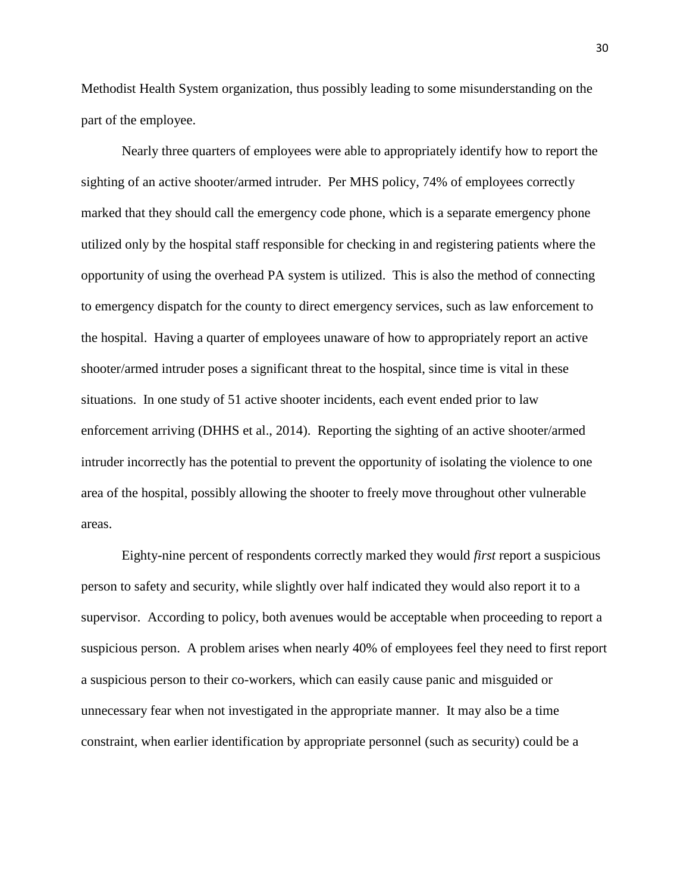Methodist Health System organization, thus possibly leading to some misunderstanding on the part of the employee.

Nearly three quarters of employees were able to appropriately identify how to report the sighting of an active shooter/armed intruder. Per MHS policy, 74% of employees correctly marked that they should call the emergency code phone, which is a separate emergency phone utilized only by the hospital staff responsible for checking in and registering patients where the opportunity of using the overhead PA system is utilized. This is also the method of connecting to emergency dispatch for the county to direct emergency services, such as law enforcement to the hospital. Having a quarter of employees unaware of how to appropriately report an active shooter/armed intruder poses a significant threat to the hospital, since time is vital in these situations. In one study of 51 active shooter incidents, each event ended prior to law enforcement arriving (DHHS et al., 2014). Reporting the sighting of an active shooter/armed intruder incorrectly has the potential to prevent the opportunity of isolating the violence to one area of the hospital, possibly allowing the shooter to freely move throughout other vulnerable areas.

Eighty-nine percent of respondents correctly marked they would *first* report a suspicious person to safety and security, while slightly over half indicated they would also report it to a supervisor. According to policy, both avenues would be acceptable when proceeding to report a suspicious person. A problem arises when nearly 40% of employees feel they need to first report a suspicious person to their co-workers, which can easily cause panic and misguided or unnecessary fear when not investigated in the appropriate manner. It may also be a time constraint, when earlier identification by appropriate personnel (such as security) could be a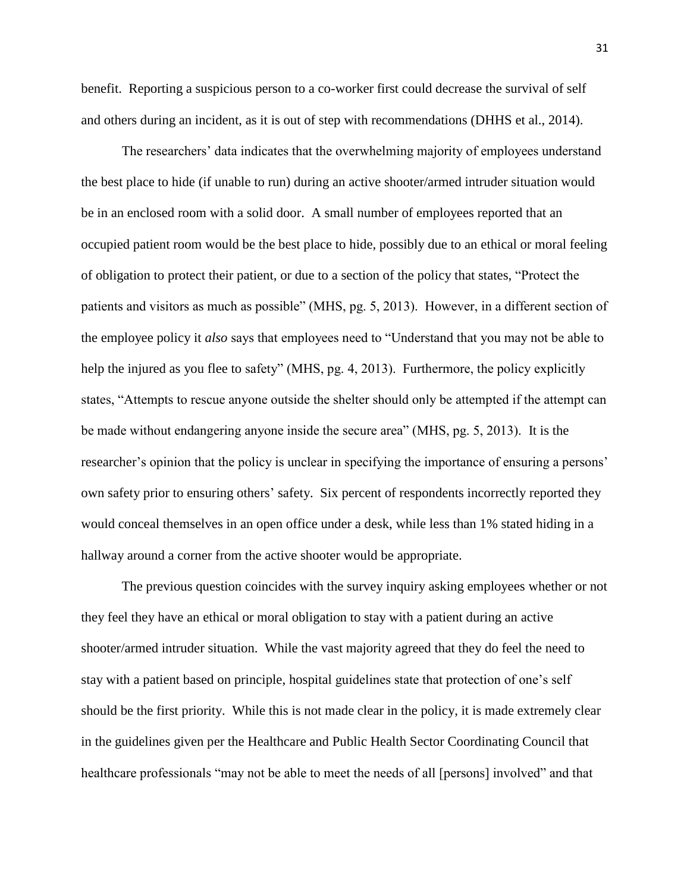benefit. Reporting a suspicious person to a co-worker first could decrease the survival of self and others during an incident, as it is out of step with recommendations (DHHS et al., 2014).

The researchers' data indicates that the overwhelming majority of employees understand the best place to hide (if unable to run) during an active shooter/armed intruder situation would be in an enclosed room with a solid door. A small number of employees reported that an occupied patient room would be the best place to hide, possibly due to an ethical or moral feeling of obligation to protect their patient, or due to a section of the policy that states, "Protect the patients and visitors as much as possible" (MHS, pg. 5, 2013). However, in a different section of the employee policy it *also* says that employees need to "Understand that you may not be able to help the injured as you flee to safety" (MHS, pg. 4, 2013). Furthermore, the policy explicitly states, "Attempts to rescue anyone outside the shelter should only be attempted if the attempt can be made without endangering anyone inside the secure area" (MHS, pg. 5, 2013). It is the researcher's opinion that the policy is unclear in specifying the importance of ensuring a persons' own safety prior to ensuring others' safety. Six percent of respondents incorrectly reported they would conceal themselves in an open office under a desk, while less than 1% stated hiding in a hallway around a corner from the active shooter would be appropriate.

The previous question coincides with the survey inquiry asking employees whether or not they feel they have an ethical or moral obligation to stay with a patient during an active shooter/armed intruder situation. While the vast majority agreed that they do feel the need to stay with a patient based on principle, hospital guidelines state that protection of one's self should be the first priority. While this is not made clear in the policy, it is made extremely clear in the guidelines given per the Healthcare and Public Health Sector Coordinating Council that healthcare professionals "may not be able to meet the needs of all [persons] involved" and that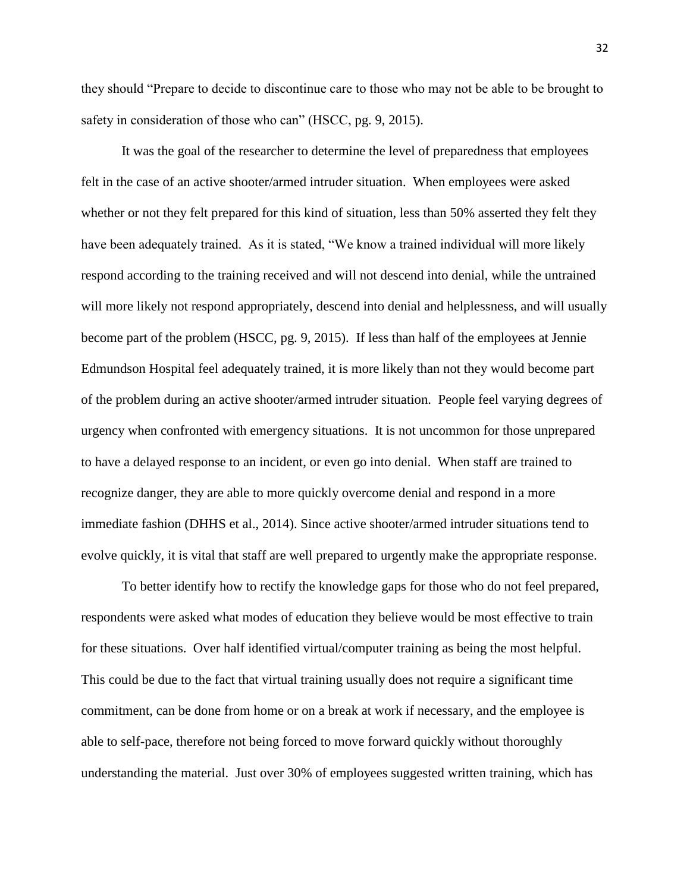they should "Prepare to decide to discontinue care to those who may not be able to be brought to safety in consideration of those who can" (HSCC, pg. 9, 2015).

It was the goal of the researcher to determine the level of preparedness that employees felt in the case of an active shooter/armed intruder situation. When employees were asked whether or not they felt prepared for this kind of situation, less than 50% asserted they felt they have been adequately trained. As it is stated, "We know a trained individual will more likely respond according to the training received and will not descend into denial, while the untrained will more likely not respond appropriately, descend into denial and helplessness, and will usually become part of the problem (HSCC, pg. 9, 2015). If less than half of the employees at Jennie Edmundson Hospital feel adequately trained, it is more likely than not they would become part of the problem during an active shooter/armed intruder situation. People feel varying degrees of urgency when confronted with emergency situations. It is not uncommon for those unprepared to have a delayed response to an incident, or even go into denial. When staff are trained to recognize danger, they are able to more quickly overcome denial and respond in a more immediate fashion (DHHS et al., 2014). Since active shooter/armed intruder situations tend to evolve quickly, it is vital that staff are well prepared to urgently make the appropriate response.

To better identify how to rectify the knowledge gaps for those who do not feel prepared, respondents were asked what modes of education they believe would be most effective to train for these situations. Over half identified virtual/computer training as being the most helpful. This could be due to the fact that virtual training usually does not require a significant time commitment, can be done from home or on a break at work if necessary, and the employee is able to self-pace, therefore not being forced to move forward quickly without thoroughly understanding the material. Just over 30% of employees suggested written training, which has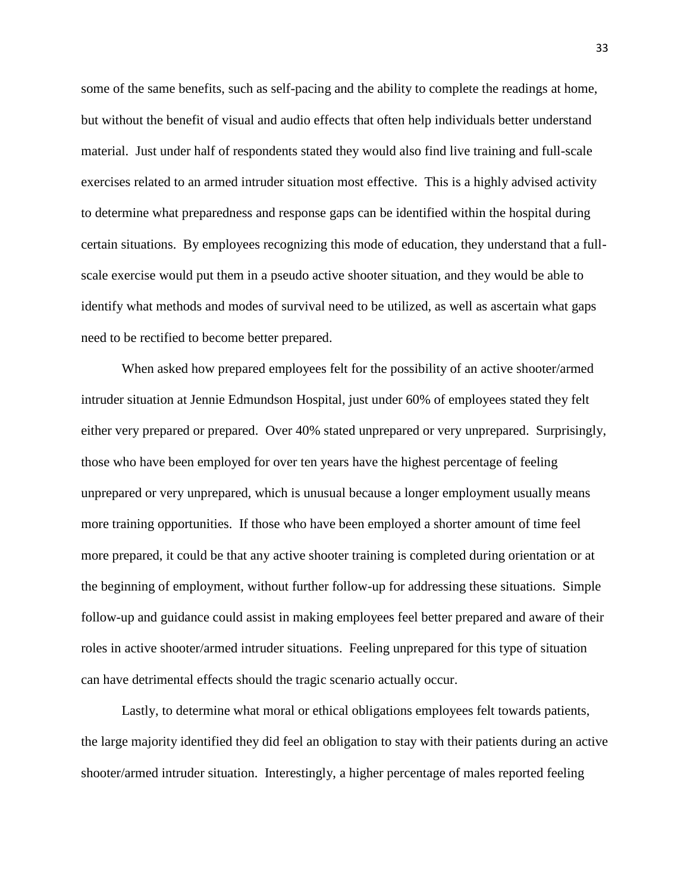some of the same benefits, such as self-pacing and the ability to complete the readings at home, but without the benefit of visual and audio effects that often help individuals better understand material. Just under half of respondents stated they would also find live training and full-scale exercises related to an armed intruder situation most effective. This is a highly advised activity to determine what preparedness and response gaps can be identified within the hospital during certain situations. By employees recognizing this mode of education, they understand that a fullscale exercise would put them in a pseudo active shooter situation, and they would be able to identify what methods and modes of survival need to be utilized, as well as ascertain what gaps need to be rectified to become better prepared.

When asked how prepared employees felt for the possibility of an active shooter/armed intruder situation at Jennie Edmundson Hospital, just under 60% of employees stated they felt either very prepared or prepared. Over 40% stated unprepared or very unprepared. Surprisingly, those who have been employed for over ten years have the highest percentage of feeling unprepared or very unprepared, which is unusual because a longer employment usually means more training opportunities. If those who have been employed a shorter amount of time feel more prepared, it could be that any active shooter training is completed during orientation or at the beginning of employment, without further follow-up for addressing these situations. Simple follow-up and guidance could assist in making employees feel better prepared and aware of their roles in active shooter/armed intruder situations. Feeling unprepared for this type of situation can have detrimental effects should the tragic scenario actually occur.

Lastly, to determine what moral or ethical obligations employees felt towards patients, the large majority identified they did feel an obligation to stay with their patients during an active shooter/armed intruder situation. Interestingly, a higher percentage of males reported feeling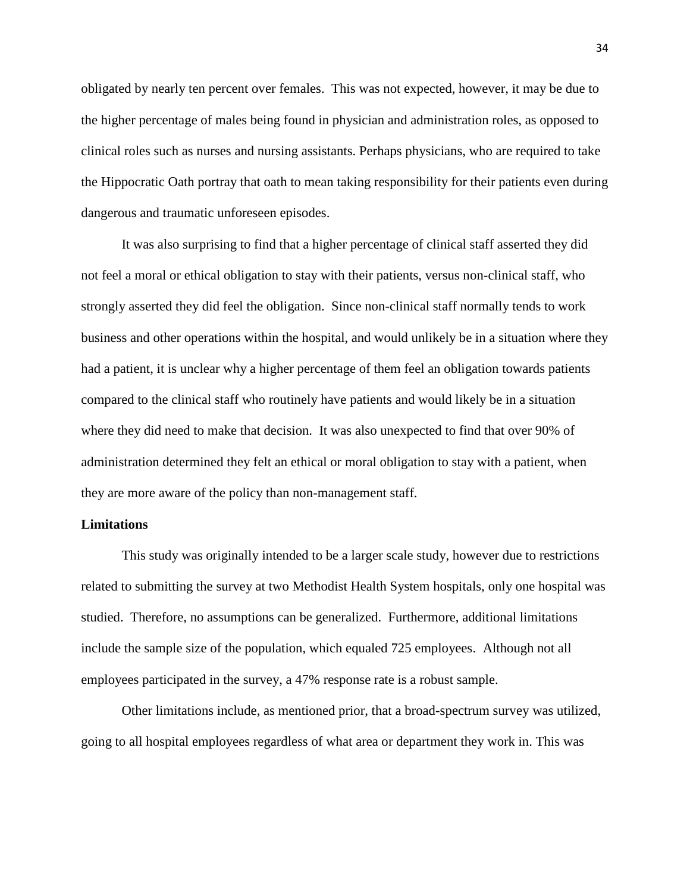obligated by nearly ten percent over females. This was not expected, however, it may be due to the higher percentage of males being found in physician and administration roles, as opposed to clinical roles such as nurses and nursing assistants. Perhaps physicians, who are required to take the Hippocratic Oath portray that oath to mean taking responsibility for their patients even during dangerous and traumatic unforeseen episodes.

It was also surprising to find that a higher percentage of clinical staff asserted they did not feel a moral or ethical obligation to stay with their patients, versus non-clinical staff, who strongly asserted they did feel the obligation. Since non-clinical staff normally tends to work business and other operations within the hospital, and would unlikely be in a situation where they had a patient, it is unclear why a higher percentage of them feel an obligation towards patients compared to the clinical staff who routinely have patients and would likely be in a situation where they did need to make that decision. It was also unexpected to find that over 90% of administration determined they felt an ethical or moral obligation to stay with a patient, when they are more aware of the policy than non-management staff.

#### **Limitations**

This study was originally intended to be a larger scale study, however due to restrictions related to submitting the survey at two Methodist Health System hospitals, only one hospital was studied. Therefore, no assumptions can be generalized. Furthermore, additional limitations include the sample size of the population, which equaled 725 employees. Although not all employees participated in the survey, a 47% response rate is a robust sample.

Other limitations include, as mentioned prior, that a broad-spectrum survey was utilized, going to all hospital employees regardless of what area or department they work in. This was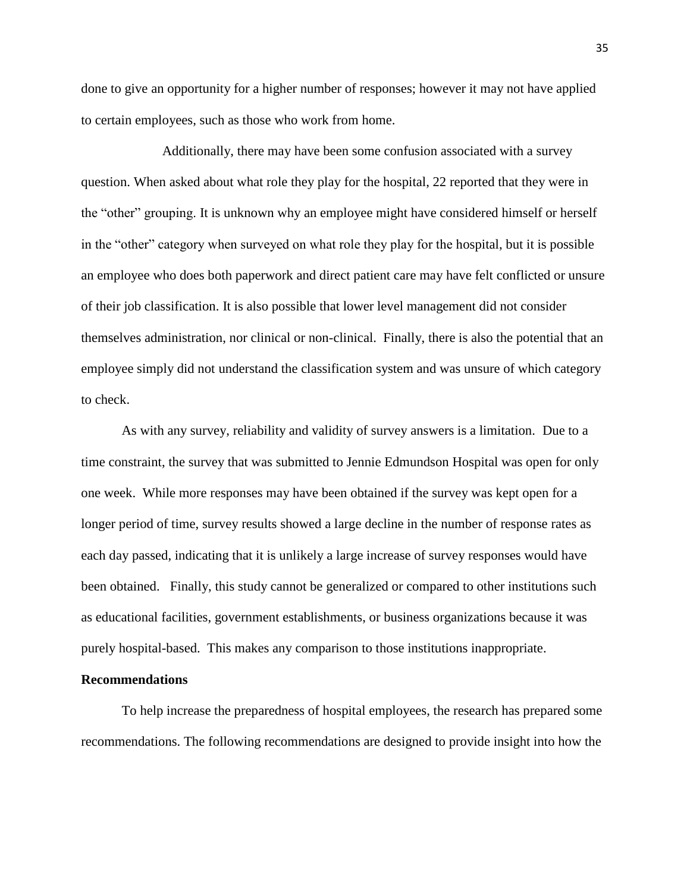done to give an opportunity for a higher number of responses; however it may not have applied to certain employees, such as those who work from home.

Additionally, there may have been some confusion associated with a survey question. When asked about what role they play for the hospital, 22 reported that they were in the "other" grouping. It is unknown why an employee might have considered himself or herself in the "other" category when surveyed on what role they play for the hospital, but it is possible an employee who does both paperwork and direct patient care may have felt conflicted or unsure of their job classification. It is also possible that lower level management did not consider themselves administration, nor clinical or non-clinical. Finally, there is also the potential that an employee simply did not understand the classification system and was unsure of which category to check.

As with any survey, reliability and validity of survey answers is a limitation. Due to a time constraint, the survey that was submitted to Jennie Edmundson Hospital was open for only one week. While more responses may have been obtained if the survey was kept open for a longer period of time, survey results showed a large decline in the number of response rates as each day passed, indicating that it is unlikely a large increase of survey responses would have been obtained. Finally, this study cannot be generalized or compared to other institutions such as educational facilities, government establishments, or business organizations because it was purely hospital-based. This makes any comparison to those institutions inappropriate.

#### **Recommendations**

To help increase the preparedness of hospital employees, the research has prepared some recommendations. The following recommendations are designed to provide insight into how the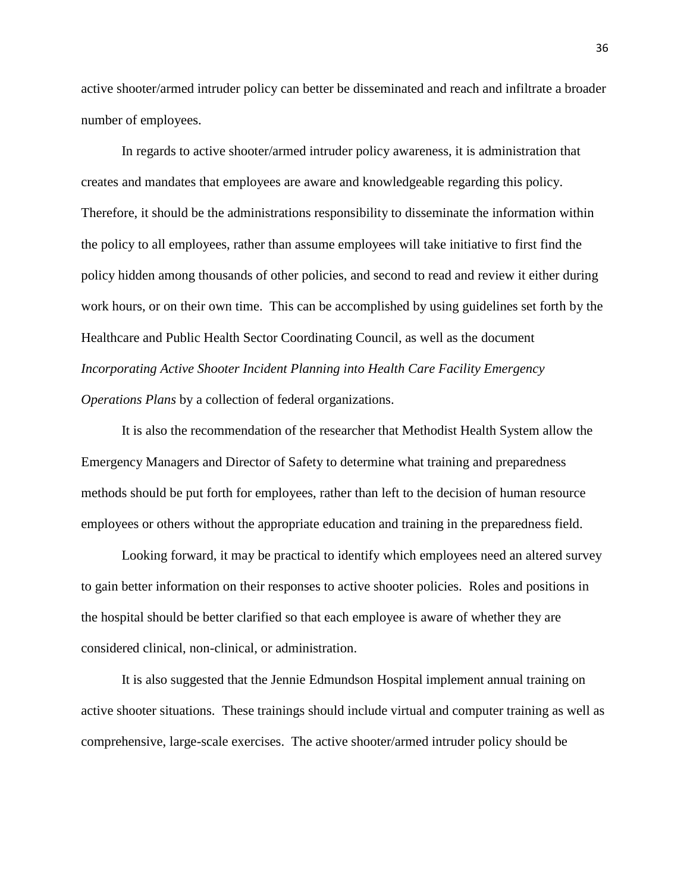active shooter/armed intruder policy can better be disseminated and reach and infiltrate a broader number of employees.

In regards to active shooter/armed intruder policy awareness, it is administration that creates and mandates that employees are aware and knowledgeable regarding this policy. Therefore, it should be the administrations responsibility to disseminate the information within the policy to all employees, rather than assume employees will take initiative to first find the policy hidden among thousands of other policies, and second to read and review it either during work hours, or on their own time. This can be accomplished by using guidelines set forth by the Healthcare and Public Health Sector Coordinating Council, as well as the document *Incorporating Active Shooter Incident Planning into Health Care Facility Emergency Operations Plans* by a collection of federal organizations.

It is also the recommendation of the researcher that Methodist Health System allow the Emergency Managers and Director of Safety to determine what training and preparedness methods should be put forth for employees, rather than left to the decision of human resource employees or others without the appropriate education and training in the preparedness field.

Looking forward, it may be practical to identify which employees need an altered survey to gain better information on their responses to active shooter policies. Roles and positions in the hospital should be better clarified so that each employee is aware of whether they are considered clinical, non-clinical, or administration.

It is also suggested that the Jennie Edmundson Hospital implement annual training on active shooter situations. These trainings should include virtual and computer training as well as comprehensive, large-scale exercises. The active shooter/armed intruder policy should be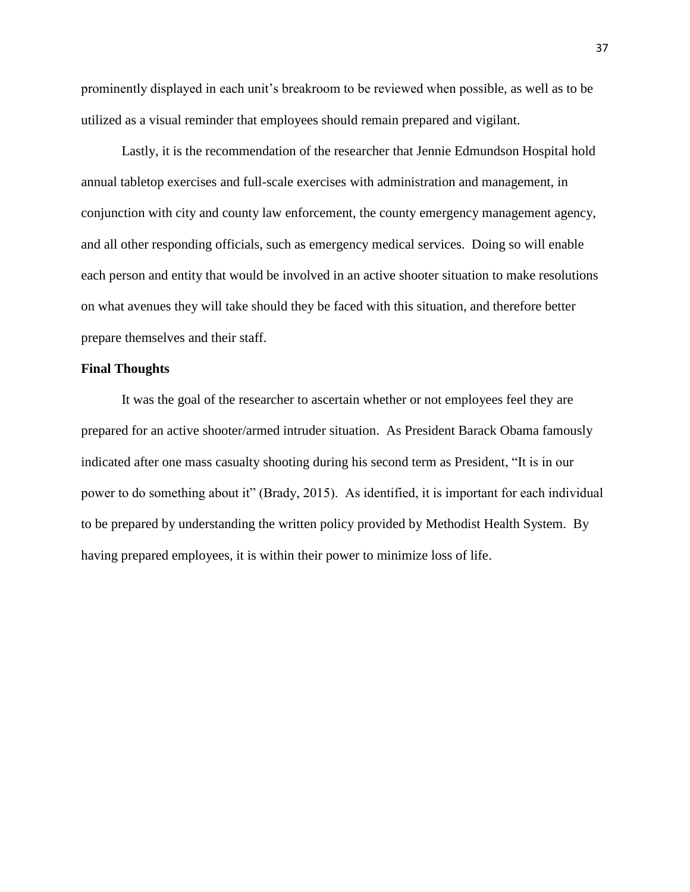prominently displayed in each unit's breakroom to be reviewed when possible, as well as to be utilized as a visual reminder that employees should remain prepared and vigilant.

Lastly, it is the recommendation of the researcher that Jennie Edmundson Hospital hold annual tabletop exercises and full-scale exercises with administration and management, in conjunction with city and county law enforcement, the county emergency management agency, and all other responding officials, such as emergency medical services. Doing so will enable each person and entity that would be involved in an active shooter situation to make resolutions on what avenues they will take should they be faced with this situation, and therefore better prepare themselves and their staff.

#### **Final Thoughts**

It was the goal of the researcher to ascertain whether or not employees feel they are prepared for an active shooter/armed intruder situation. As President Barack Obama famously indicated after one mass casualty shooting during his second term as President, "It is in our power to do something about it" (Brady, 2015). As identified, it is important for each individual to be prepared by understanding the written policy provided by Methodist Health System. By having prepared employees, it is within their power to minimize loss of life.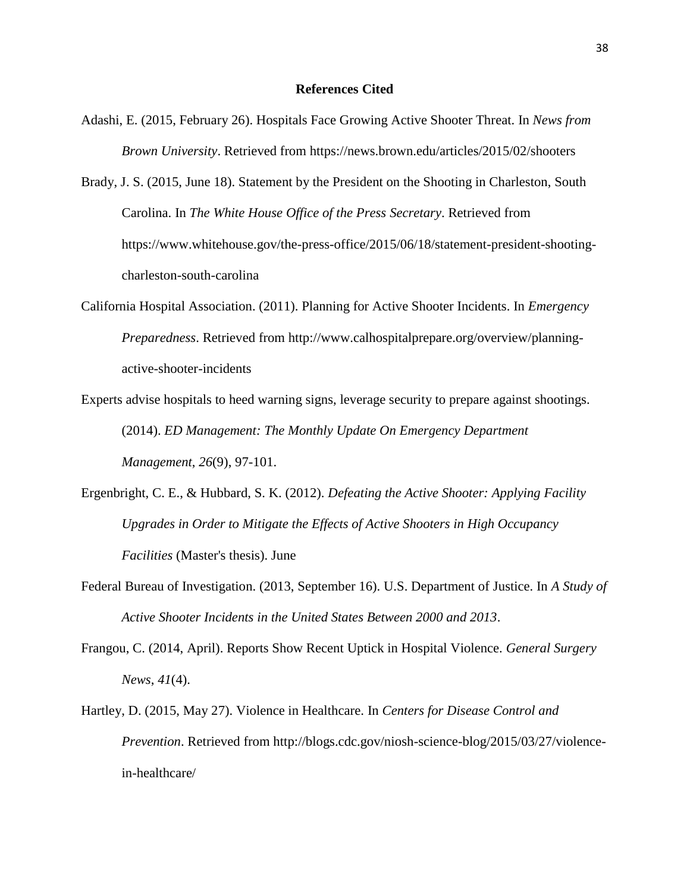#### **References Cited**

- Adashi, E. (2015, February 26). Hospitals Face Growing Active Shooter Threat. In *News from Brown University*. Retrieved from https://news.brown.edu/articles/2015/02/shooters
- Brady, J. S. (2015, June 18). Statement by the President on the Shooting in Charleston, South Carolina. In *The White House Office of the Press Secretary*. Retrieved from https://www.whitehouse.gov/the-press-office/2015/06/18/statement-president-shootingcharleston-south-carolina
- California Hospital Association. (2011). Planning for Active Shooter Incidents. In *Emergency Preparedness*. Retrieved from http://www.calhospitalprepare.org/overview/planningactive-shooter-incidents
- Experts advise hospitals to heed warning signs, leverage security to prepare against shootings. (2014). *ED Management: The Monthly Update On Emergency Department Management*, *26*(9), 97-101.
- Ergenbright, C. E., & Hubbard, S. K. (2012). *Defeating the Active Shooter: Applying Facility Upgrades in Order to Mitigate the Effects of Active Shooters in High Occupancy Facilities* (Master's thesis). June
- Federal Bureau of Investigation. (2013, September 16). U.S. Department of Justice. In *A Study of Active Shooter Incidents in the United States Between 2000 and 2013*.
- Frangou, C. (2014, April). Reports Show Recent Uptick in Hospital Violence. *General Surgery News*, *41*(4).
- Hartley, D. (2015, May 27). Violence in Healthcare. In *Centers for Disease Control and Prevention*. Retrieved from http://blogs.cdc.gov/niosh-science-blog/2015/03/27/violencein-healthcare/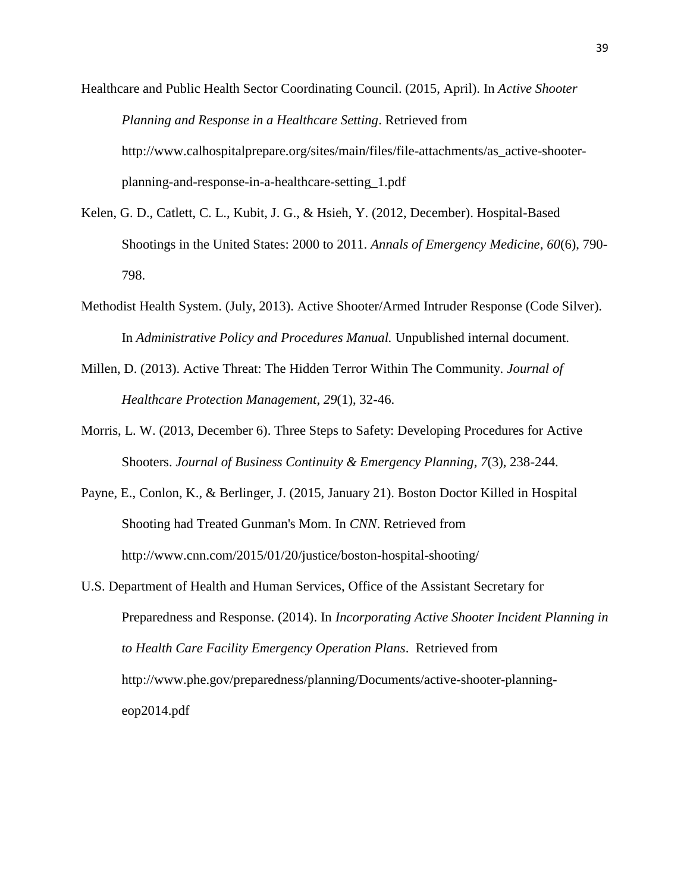Healthcare and Public Health Sector Coordinating Council. (2015, April). In *Active Shooter Planning and Response in a Healthcare Setting*. Retrieved from http://www.calhospitalprepare.org/sites/main/files/file-attachments/as\_active-shooterplanning-and-response-in-a-healthcare-setting\_1.pdf

- Kelen, G. D., Catlett, C. L., Kubit, J. G., & Hsieh, Y. (2012, December). Hospital-Based Shootings in the United States: 2000 to 2011. *Annals of Emergency Medicine*, *60*(6), 790- 798.
- Methodist Health System. (July, 2013). Active Shooter/Armed Intruder Response (Code Silver). In *Administrative Policy and Procedures Manual.* Unpublished internal document.
- Millen, D. (2013). Active Threat: The Hidden Terror Within The Community. *Journal of Healthcare Protection Management*, *29*(1), 32-46.
- Morris, L. W. (2013, December 6). Three Steps to Safety: Developing Procedures for Active Shooters. *Journal of Business Continuity & Emergency Planning*, *7*(3), 238-244.
- Payne, E., Conlon, K., & Berlinger, J. (2015, January 21). Boston Doctor Killed in Hospital Shooting had Treated Gunman's Mom. In *CNN*. Retrieved from http://www.cnn.com/2015/01/20/justice/boston-hospital-shooting/
- U.S. Department of Health and Human Services, Office of the Assistant Secretary for Preparedness and Response. (2014). In *Incorporating Active Shooter Incident Planning in to Health Care Facility Emergency Operation Plans*. Retrieved from http://www.phe.gov/preparedness/planning/Documents/active-shooter-planningeop2014.pdf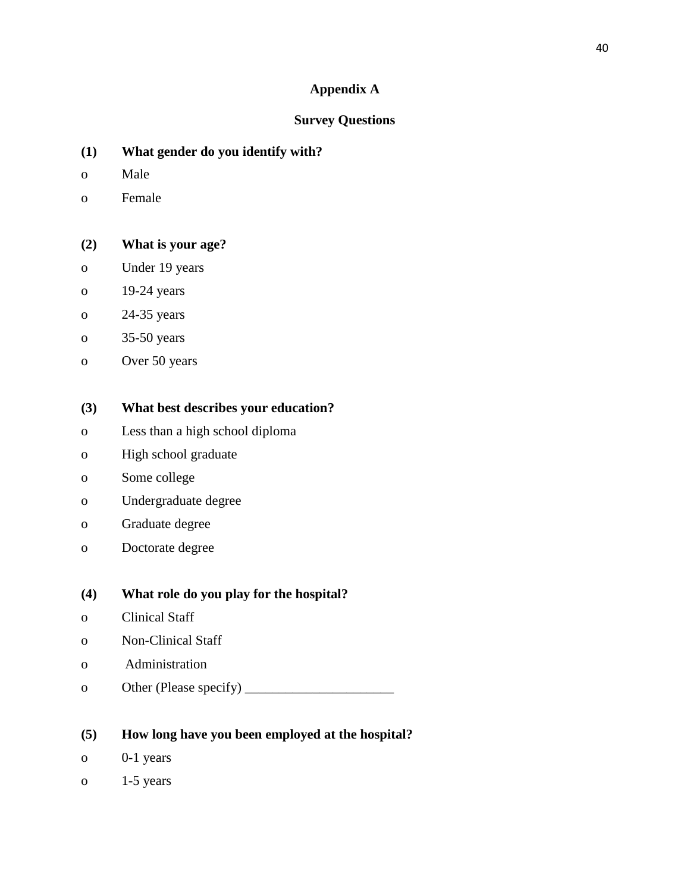## **Appendix A**

## **Survey Questions**

- **(1) What gender do you identify with?**
- o Male
- o Female

## **(2) What is your age?**

- o Under 19 years
- o 19-24 years
- o 24-35 years
- o 35-50 years
- o Over 50 years

## **(3) What best describes your education?**

- o Less than a high school diploma
- o High school graduate
- o Some college
- o Undergraduate degree
- o Graduate degree
- o Doctorate degree

## **(4) What role do you play for the hospital?**

- o Clinical Staff
- o Non-Clinical Staff
- o Administration
- o Other (Please specify) \_\_\_\_\_\_\_\_\_\_\_\_\_\_\_\_\_\_\_\_\_\_

## **(5) How long have you been employed at the hospital?**

- o 0-1 years
- o  $1-5$  years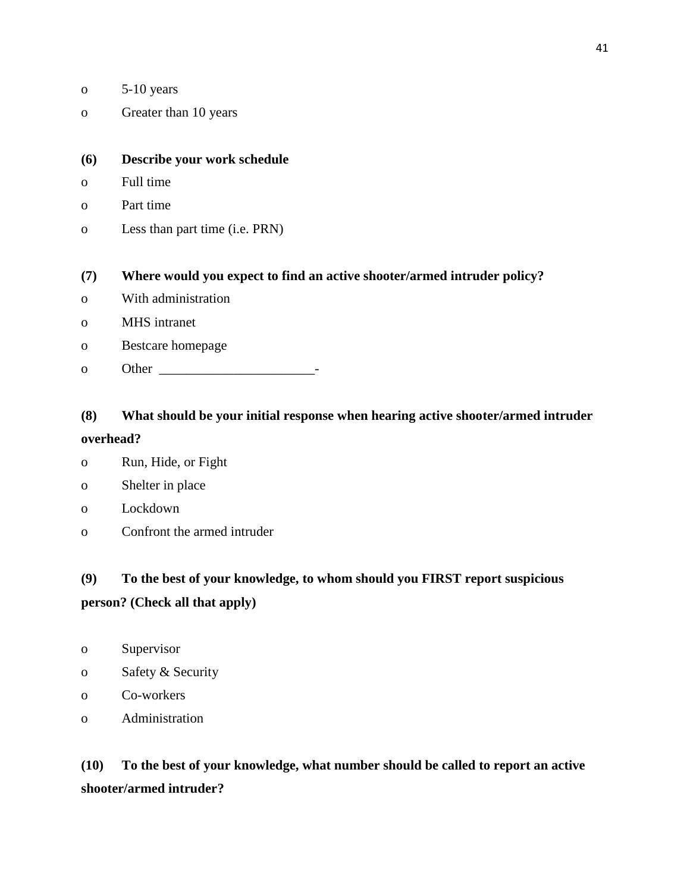- o 5-10 years
- o Greater than 10 years

### **(6) Describe your work schedule**

- o Full time
- o Part time
- o Less than part time (i.e. PRN)

### **(7) Where would you expect to find an active shooter/armed intruder policy?**

- o With administration
- o MHS intranet
- o Bestcare homepage
- o Other \_\_\_\_\_\_\_\_\_\_\_\_\_\_\_\_\_\_\_\_\_\_\_-

## **(8) What should be your initial response when hearing active shooter/armed intruder**

#### **overhead?**

- o Run, Hide, or Fight
- o Shelter in place
- o Lockdown
- o Confront the armed intruder

## **(9) To the best of your knowledge, to whom should you FIRST report suspicious person? (Check all that apply)**

- o Supervisor
- o Safety & Security
- o Co-workers
- o Administration

**(10) To the best of your knowledge, what number should be called to report an active shooter/armed intruder?**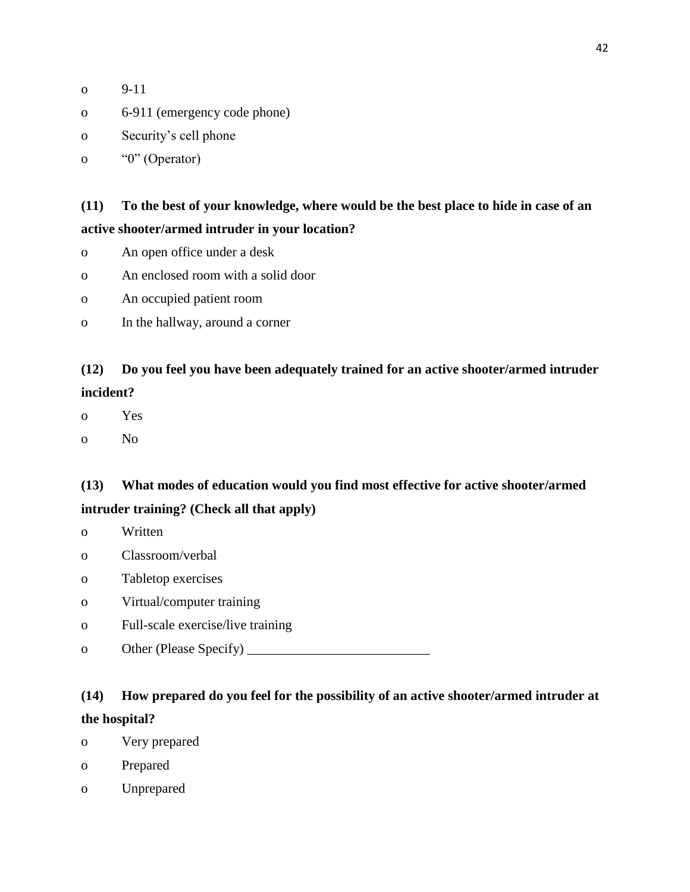| $9 - 11$ |
|----------|
|          |

- o 6-911 (emergency code phone)
- o Security's cell phone
- o "0" (Operator)

## **(11) To the best of your knowledge, where would be the best place to hide in case of an active shooter/armed intruder in your location?**

- o An open office under a desk
- o An enclosed room with a solid door
- o An occupied patient room
- o In the hallway, around a corner

## **(12) Do you feel you have been adequately trained for an active shooter/armed intruder incident?**

- o Yes
- o No

## **(13) What modes of education would you find most effective for active shooter/armed intruder training? (Check all that apply)**

- o Written
- o Classroom/verbal
- o Tabletop exercises
- o Virtual/computer training
- o Full-scale exercise/live training
- o Other (Please Specify) \_\_\_\_\_\_\_\_\_\_\_\_\_\_\_\_\_\_\_\_\_\_\_\_\_\_\_

## **(14) How prepared do you feel for the possibility of an active shooter/armed intruder at the hospital?**

- o Very prepared
- o Prepared
- o Unprepared